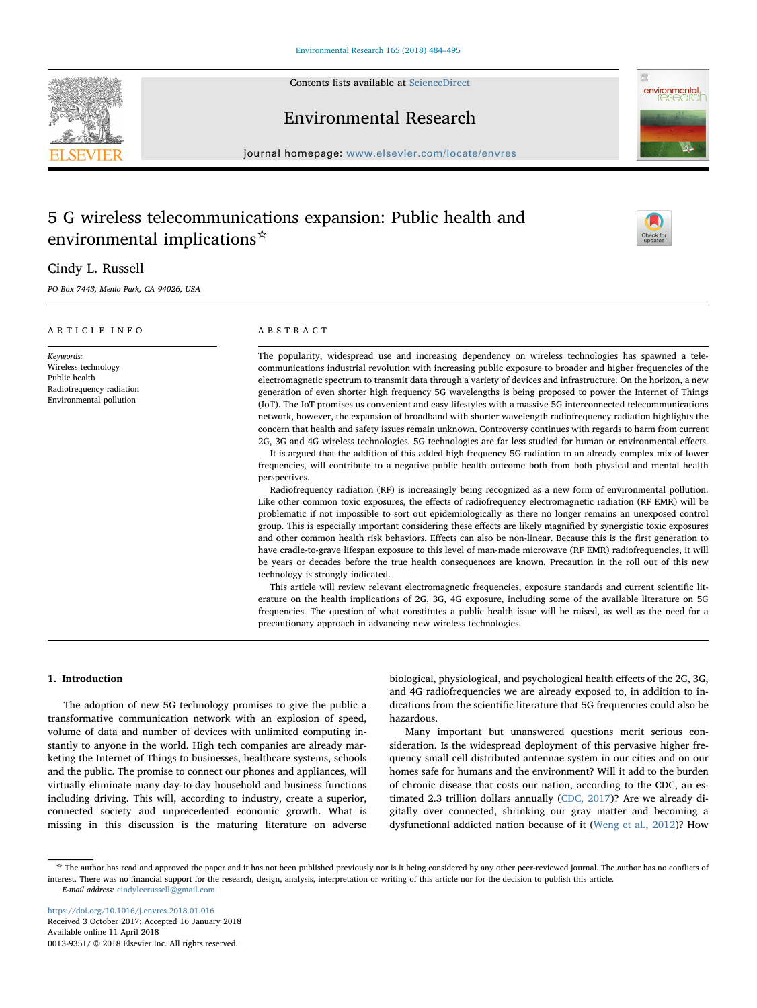

Contents lists available at [ScienceDirect](http://www.sciencedirect.com/science/journal/00139351)

Environmental Research



journal homepage: [www.elsevier.com/locate/envres](https://www.elsevier.com/locate/envres)

# 5 G wireless telecommunications expansion: Public health and environmental implications<sup>☆</sup>



# Cindy L. Russell

PO Box 7443, Menlo Park, CA 94026, USA

#### ARTICLE INFO ABSTRACT

Keywords: Wireless technology Public health Radiofrequency radiation Environmental pollution

The popularity, widespread use and increasing dependency on wireless technologies has spawned a telecommunications industrial revolution with increasing public exposure to broader and higher frequencies of the electromagnetic spectrum to transmit data through a variety of devices and infrastructure. On the horizon, a new generation of even shorter high frequency 5G wavelengths is being proposed to power the Internet of Things (IoT). The IoT promises us convenient and easy lifestyles with a massive 5G interconnected telecommunications network, however, the expansion of broadband with shorter wavelength radiofrequency radiation highlights the concern that health and safety issues remain unknown. Controversy continues with regards to harm from current 2G, 3G and 4G wireless technologies. 5G technologies are far less studied for human or environmental effects.

It is argued that the addition of this added high frequency 5G radiation to an already complex mix of lower frequencies, will contribute to a negative public health outcome both from both physical and mental health perspectives.

Radiofrequency radiation (RF) is increasingly being recognized as a new form of environmental pollution. Like other common toxic exposures, the effects of radiofrequency electromagnetic radiation (RF EMR) will be problematic if not impossible to sort out epidemiologically as there no longer remains an unexposed control group. This is especially important considering these effects are likely magnified by synergistic toxic exposures and other common health risk behaviors. Effects can also be non-linear. Because this is the first generation to have cradle-to-grave lifespan exposure to this level of man-made microwave (RF EMR) radiofrequencies, it will be years or decades before the true health consequences are known. Precaution in the roll out of this new technology is strongly indicated.

This article will review relevant electromagnetic frequencies, exposure standards and current scientific literature on the health implications of 2G, 3G, 4G exposure, including some of the available literature on 5G frequencies. The question of what constitutes a public health issue will be raised, as well as the need for a precautionary approach in advancing new wireless technologies.

# 1. Introduction

The adoption of new 5G technology promises to give the public a transformative communication network with an explosion of speed, volume of data and number of devices with unlimited computing instantly to anyone in the world. High tech companies are already marketing the Internet of Things to businesses, healthcare systems, schools and the public. The promise to connect our phones and appliances, will virtually eliminate many day-to-day household and business functions including driving. This will, according to industry, create a superior, connected society and unprecedented economic growth. What is missing in this discussion is the maturing literature on adverse biological, physiological, and psychological health effects of the 2G, 3G, and 4G radiofrequencies we are already exposed to, in addition to indications from the scientific literature that 5G frequencies could also be hazardous.

Many important but unanswered questions merit serious consideration. Is the widespread deployment of this pervasive higher frequency small cell distributed antennae system in our cities and on our homes safe for humans and the environment? Will it add to the burden of chronic disease that costs our nation, according to the CDC, an estimated 2.3 trillion dollars annually ([CDC, 2017](#page-8-0))? Are we already digitally over connected, shrinking our gray matter and becoming a dysfunctional addicted nation because of it [\(Weng et al., 2012](#page-10-0))? How

☆ The author has read and approved the paper and it has not been published previously nor is it being considered by any other peer-reviewed journal. The author has no conflicts of interest. There was no financial support for the research, design, analysis, interpretation or writing of this article nor for the decision to publish this article. E-mail address: [cindyleerussell@gmail.com](mailto:cindyleerussell@gmail.com).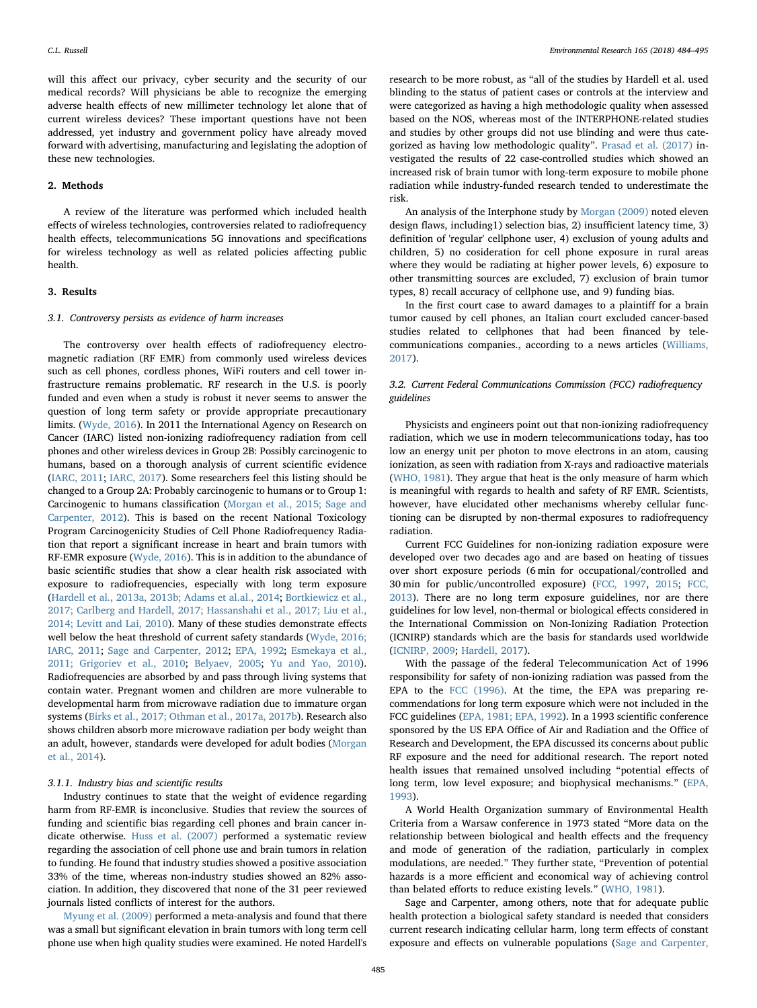will this affect our privacy, cyber security and the security of our medical records? Will physicians be able to recognize the emerging adverse health effects of new millimeter technology let alone that of current wireless devices? These important questions have not been addressed, yet industry and government policy have already moved forward with advertising, manufacturing and legislating the adoption of these new technologies.

# 2. Methods

A review of the literature was performed which included health effects of wireless technologies, controversies related to radiofrequency health effects, telecommunications 5G innovations and specifications for wireless technology as well as related policies affecting public health.

# 3. Results

### 3.1. Controversy persists as evidence of harm increases

The controversy over health effects of radiofrequency electromagnetic radiation (RF EMR) from commonly used wireless devices such as cell phones, cordless phones, WiFi routers and cell tower infrastructure remains problematic. RF research in the U.S. is poorly funded and even when a study is robust it never seems to answer the question of long term safety or provide appropriate precautionary limits. [\(Wyde, 2016\)](#page-11-0). In 2011 the International Agency on Research on Cancer (IARC) listed non-ionizing radiofrequency radiation from cell phones and other wireless devices in Group 2B: Possibly carcinogenic to humans, based on a thorough analysis of current scientific evidence ([IARC, 2011;](#page-9-0) [IARC, 2017](#page-9-1)). Some researchers feel this listing should be changed to a Group 2A: Probably carcinogenic to humans or to Group 1: Carcinogenic to humans classification [\(Morgan et al., 2015; Sage and](#page-10-1) [Carpenter, 2012\)](#page-10-1). This is based on the recent National Toxicology Program Carcinogenicity Studies of Cell Phone Radiofrequency Radiation that report a significant increase in heart and brain tumors with RF-EMR exposure ([Wyde, 2016](#page-11-0)). This is in addition to the abundance of basic scientific studies that show a clear health risk associated with exposure to radiofrequencies, especially with long term exposure ([Hardell et al., 2013a, 2013b; Adams et al.al., 2014](#page-9-2); [Bortkiewicz et al.,](#page-7-0) [2017; Carlberg and Hardell, 2017; Hassanshahi et al., 2017; Liu et al.,](#page-7-0) [2014; Levitt and Lai, 2010](#page-7-0)). Many of these studies demonstrate effects well below the heat threshold of current safety standards ([Wyde, 2016;](#page-11-0) [IARC, 2011](#page-11-0); [Sage and Carpenter, 2012;](#page-10-1) [EPA, 1992;](#page-8-1) [Esmekaya et al.,](#page-8-2) [2011; Grigoriev et al., 2010;](#page-8-2) [Belyaev, 2005;](#page-7-1) [Yu and Yao, 2010](#page-11-1)). Radiofrequencies are absorbed by and pass through living systems that contain water. Pregnant women and children are more vulnerable to developmental harm from microwave radiation due to immature organ systems ([Birks et al., 2017; Othman et al., 2017a, 2017b\)](#page-7-2). Research also shows children absorb more microwave radiation per body weight than an adult, however, standards were developed for adult bodies [\(Morgan](#page-9-3) [et al., 2014](#page-9-3)).

# 3.1.1. Industry bias and scientific results

Industry continues to state that the weight of evidence regarding harm from RF-EMR is inconclusive. Studies that review the sources of funding and scientific bias regarding cell phones and brain cancer indicate otherwise. [Huss et al. \(2007\)](#page-9-4) performed a systematic review regarding the association of cell phone use and brain tumors in relation to funding. He found that industry studies showed a positive association 33% of the time, whereas non-industry studies showed an 82% association. In addition, they discovered that none of the 31 peer reviewed journals listed conflicts of interest for the authors.

[Myung et al. \(2009\)](#page-10-2) performed a meta-analysis and found that there was a small but significant elevation in brain tumors with long term cell phone use when high quality studies were examined. He noted Hardell's

research to be more robust, as "all of the studies by Hardell et al. used blinding to the status of patient cases or controls at the interview and were categorized as having a high methodologic quality when assessed based on the NOS, whereas most of the INTERPHONE-related studies and studies by other groups did not use blinding and were thus categorized as having low methodologic quality". [Prasad et al. \(2017\)](#page-10-3) investigated the results of 22 case-controlled studies which showed an increased risk of brain tumor with long-term exposure to mobile phone radiation while industry-funded research tended to underestimate the risk.

An analysis of the Interphone study by [Morgan \(2009\)](#page-9-5) noted eleven design flaws, including1) selection bias, 2) insufficient latency time, 3) definition of 'regular' cellphone user, 4) exclusion of young adults and children, 5) no cosideration for cell phone exposure in rural areas where they would be radiating at higher power levels, 6) exposure to other transmitting sources are excluded, 7) exclusion of brain tumor types, 8) recall accuracy of cellphone use, and 9) funding bias.

In the first court case to award damages to a plaintiff for a brain tumor caused by cell phones, an Italian court excluded cancer-based studies related to cellphones that had been financed by telecommunications companies., according to a news articles [\(Williams,](#page-10-4) [2017\)](#page-10-4).

# 3.2. Current Federal Communications Commission (FCC) radiofrequency guidelines

Physicists and engineers point out that non-ionizing radiofrequency radiation, which we use in modern telecommunications today, has too low an energy unit per photon to move electrons in an atom, causing ionization, as seen with radiation from X-rays and radioactive materials ([WHO, 1981](#page-10-5)). They argue that heat is the only measure of harm which is meaningful with regards to health and safety of RF EMR. Scientists, however, have elucidated other mechanisms whereby cellular functioning can be disrupted by non-thermal exposures to radiofrequency radiation.

Current FCC Guidelines for non-ionizing radiation exposure were developed over two decades ago and are based on heating of tissues over short exposure periods (6 min for occupational/controlled and 30 min for public/uncontrolled exposure) [\(FCC, 1997,](#page-8-3) [2015;](#page-8-4) [FCC,](#page-8-5) [2013\)](#page-8-5). There are no long term exposure guidelines, nor are there guidelines for low level, non-thermal or biological effects considered in the International Commission on Non-Ionizing Radiation Protection (ICNIRP) standards which are the basis for standards used worldwide ([ICNIRP, 2009](#page-9-6); [Hardell, 2017](#page-9-7)).

With the passage of the federal Telecommunication Act of 1996 responsibility for safety of non-ionizing radiation was passed from the EPA to the FCC [\(1996\).](#page-8-6) At the time, the EPA was preparing recommendations for long term exposure which were not included in the FCC guidelines [\(EPA, 1981; EPA, 1992\)](#page-8-7). In a 1993 scientific conference sponsored by the US EPA Office of Air and Radiation and the Office of Research and Development, the EPA discussed its concerns about public RF exposure and the need for additional research. The report noted health issues that remained unsolved including "potential effects of long term, low level exposure; and biophysical mechanisms." ([EPA,](#page-8-8) [1993\)](#page-8-8).

A World Health Organization summary of Environmental Health Criteria from a Warsaw conference in 1973 stated "More data on the relationship between biological and health effects and the frequency and mode of generation of the radiation, particularly in complex modulations, are needed." They further state, "Prevention of potential hazards is a more efficient and economical way of achieving control than belated efforts to reduce existing levels." [\(WHO, 1981](#page-10-5)).

Sage and Carpenter, among others, note that for adequate public health protection a biological safety standard is needed that considers current research indicating cellular harm, long term effects of constant exposure and effects on vulnerable populations ([Sage and Carpenter,](#page-10-1)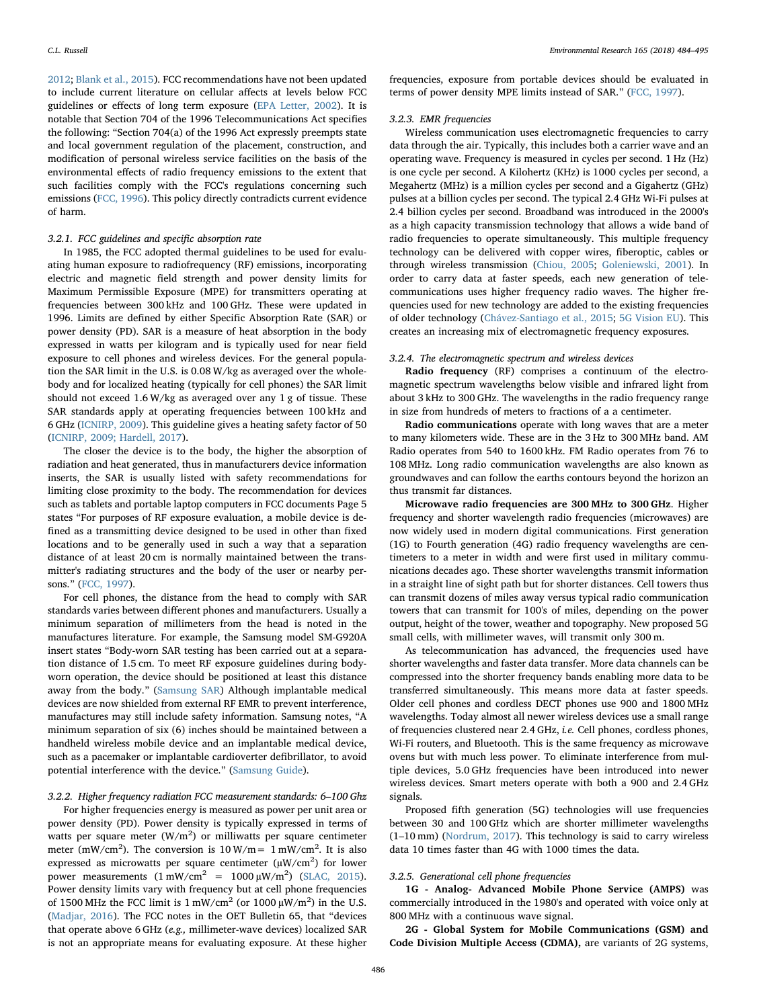C.L. Russell *Environmental Research 165 (2018) 484–495*

[2012;](#page-10-1) [Blank et al., 2015](#page-7-3)). FCC recommendations have not been updated to include current literature on cellular affects at levels below FCC guidelines or effects of long term exposure ([EPA Letter, 2002](#page-8-9)). It is notable that Section 704 of the 1996 Telecommunications Act specifies the following: "Section 704(a) of the 1996 Act expressly preempts state and local government regulation of the placement, construction, and modification of personal wireless service facilities on the basis of the environmental effects of radio frequency emissions to the extent that such facilities comply with the FCC's regulations concerning such emissions [\(FCC, 1996\)](#page-8-6). This policy directly contradicts current evidence of harm.

# 3.2.1. FCC guidelines and specific absorption rate

In 1985, the FCC adopted thermal guidelines to be used for evaluating human exposure to radiofrequency (RF) emissions, incorporating electric and magnetic field strength and power density limits for Maximum Permissible Exposure (MPE) for transmitters operating at frequencies between 300 kHz and 100 GHz. These were updated in 1996. Limits are defined by either Specific Absorption Rate (SAR) or power density (PD). SAR is a measure of heat absorption in the body expressed in watts per kilogram and is typically used for near field exposure to cell phones and wireless devices. For the general population the SAR limit in the U.S. is 0.08 W/kg as averaged over the wholebody and for localized heating (typically for cell phones) the SAR limit should not exceed 1.6 W/kg as averaged over any 1 g of tissue. These SAR standards apply at operating frequencies between 100 kHz and 6 GHz ([ICNIRP, 2009\)](#page-9-6). This guideline gives a heating safety factor of 50 ([ICNIRP, 2009;](#page-9-6) [Hardell, 2017](#page-9-7)).

The closer the device is to the body, the higher the absorption of radiation and heat generated, thus in manufacturers device information inserts, the SAR is usually listed with safety recommendations for limiting close proximity to the body. The recommendation for devices such as tablets and portable laptop computers in FCC documents Page 5 states "For purposes of RF exposure evaluation, a mobile device is defined as a transmitting device designed to be used in other than fixed locations and to be generally used in such a way that a separation distance of at least 20 cm is normally maintained between the transmitter's radiating structures and the body of the user or nearby persons." [\(FCC, 1997](#page-8-3)).

For cell phones, the distance from the head to comply with SAR standards varies between different phones and manufacturers. Usually a minimum separation of millimeters from the head is noted in the manufactures literature. For example, the Samsung model SM-G920A insert states "Body-worn SAR testing has been carried out at a separation distance of 1.5 cm. To meet RF exposure guidelines during bodyworn operation, the device should be positioned at least this distance away from the body." ([Samsung SAR](#page-10-6)) Although implantable medical devices are now shielded from external RF EMR to prevent interference, manufactures may still include safety information. Samsung notes, "A minimum separation of six (6) inches should be maintained between a handheld wireless mobile device and an implantable medical device, such as a pacemaker or implantable cardioverter defibrillator, to avoid potential interference with the device." [\(Samsung Guide](#page-10-7)).

#### 3.2.2. Higher frequency radiation FCC measurement standards: 6–100 Ghz

For higher frequencies energy is measured as power per unit area or power density (PD). Power density is typically expressed in terms of watts per square meter  $(W/m^2)$  or milliwatts per square centimeter meter (mW/cm<sup>2</sup>). The conversion is  $10 \text{ W/m} = 1 \text{ mW/cm}^2$ . It is also expressed as microwatts per square centimeter ( $\mu$ W/cm<sup>2</sup>) for lower power measurements  $(1 \text{ mW/cm}^2 = 1000 \text{ \mu W/m}^2)$  ([SLAC, 2015](#page-10-8)). Power density limits vary with frequency but at cell phone frequencies of 1500 MHz the FCC limit is  $1 \text{ mW/cm}^2$  (or  $1000 \text{ \mu W/m}^2$ ) in the U.S. ([Madjar, 2016](#page-9-8)). The FCC notes in the OET Bulletin 65, that "devices that operate above 6 GHz (e.g., millimeter-wave devices) localized SAR is not an appropriate means for evaluating exposure. At these higher

frequencies, exposure from portable devices should be evaluated in terms of power density MPE limits instead of SAR." [\(FCC, 1997\)](#page-8-3).

# 3.2.3. EMR frequencies

Wireless communication uses electromagnetic frequencies to carry data through the air. Typically, this includes both a carrier wave and an operating wave. Frequency is measured in cycles per second. 1 Hz (Hz) is one cycle per second. A Kilohertz (KHz) is 1000 cycles per second, a Megahertz (MHz) is a million cycles per second and a Gigahertz (GHz) pulses at a billion cycles per second. The typical 2.4 GHz Wi-Fi pulses at 2.4 billion cycles per second. Broadband was introduced in the 2000's as a high capacity transmission technology that allows a wide band of radio frequencies to operate simultaneously. This multiple frequency technology can be delivered with copper wires, fiberoptic, cables or through wireless transmission [\(Chiou, 2005;](#page-8-10) [Goleniewski, 2001](#page-9-9)). In order to carry data at faster speeds, each new generation of telecommunications uses higher frequency radio waves. The higher frequencies used for new technology are added to the existing frequencies of older technology [\(Chávez-Santiago et al., 2015;](#page-8-11) [5G Vision EU\)](#page-7-4). This creates an increasing mix of electromagnetic frequency exposures.

#### 3.2.4. The electromagnetic spectrum and wireless devices

Radio frequency (RF) comprises a continuum of the electromagnetic spectrum wavelengths below visible and infrared light from about 3 kHz to 300 GHz. The wavelengths in the radio frequency range in size from hundreds of meters to fractions of a a centimeter.

Radio communications operate with long waves that are a meter to many kilometers wide. These are in the 3 Hz to 300 MHz band. AM Radio operates from 540 to 1600 kHz. FM Radio operates from 76 to 108 MHz. Long radio communication wavelengths are also known as groundwaves and can follow the earths contours beyond the horizon an thus transmit far distances.

Microwave radio frequencies are 300 MHz to 300 GHz. Higher frequency and shorter wavelength radio frequencies (microwaves) are now widely used in modern digital communications. First generation (1G) to Fourth generation (4G) radio frequency wavelengths are centimeters to a meter in width and were first used in military communications decades ago. These shorter wavelengths transmit information in a straight line of sight path but for shorter distances. Cell towers thus can transmit dozens of miles away versus typical radio communication towers that can transmit for 100's of miles, depending on the power output, height of the tower, weather and topography. New proposed 5G small cells, with millimeter waves, will transmit only 300 m.

As telecommunication has advanced, the frequencies used have shorter wavelengths and faster data transfer. More data channels can be compressed into the shorter frequency bands enabling more data to be transferred simultaneously. This means more data at faster speeds. Older cell phones and cordless DECT phones use 900 and 1800 MHz wavelengths. Today almost all newer wireless devices use a small range of frequencies clustered near 2.4 GHz, i.e. Cell phones, cordless phones, Wi-Fi routers, and Bluetooth. This is the same frequency as microwave ovens but with much less power. To eliminate interference from multiple devices, 5.0 GHz frequencies have been introduced into newer wireless devices. Smart meters operate with both a 900 and 2.4 GHz signals.

Proposed fifth generation (5G) technologies will use frequencies between 30 and 100 GHz which are shorter millimeter wavelengths (1–10 mm) ([Nordrum, 2017\)](#page-10-9). This technology is said to carry wireless data 10 times faster than 4G with 1000 times the data.

#### 3.2.5. Generational cell phone frequencies

1G - Analog- Advanced Mobile Phone Service (AMPS) was commercially introduced in the 1980's and operated with voice only at 800 MHz with a continuous wave signal.

2G - Global System for Mobile Communications (GSM) and Code Division Multiple Access (CDMA), are variants of 2G systems,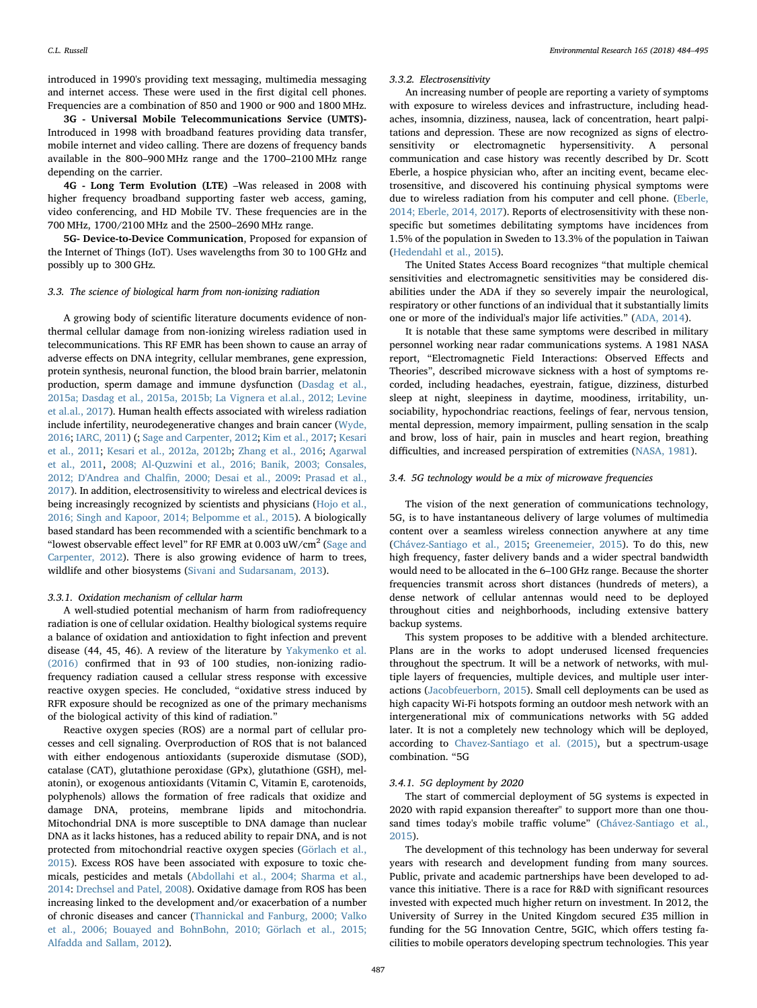introduced in 1990's providing text messaging, multimedia messaging and internet access. These were used in the first digital cell phones. Frequencies are a combination of 850 and 1900 or 900 and 1800 MHz.

3G - Universal Mobile Telecommunications Service (UMTS)- Introduced in 1998 with broadband features providing data transfer, mobile internet and video calling. There are dozens of frequency bands available in the 800–900 MHz range and the 1700–2100 MHz range depending on the carrier.

4G - Long Term Evolution (LTE) –Was released in 2008 with higher frequency broadband supporting faster web access, gaming, video conferencing, and HD Mobile TV. These frequencies are in the 700 MHz, 1700/2100 MHz and the 2500–2690 MHz range.

5G- Device-to-Device Communication, Proposed for expansion of the Internet of Things (IoT). Uses wavelengths from 30 to 100 GHz and possibly up to 300 GHz.

# 3.3. The science of biological harm from non-ionizing radiation

A growing body of scientific literature documents evidence of nonthermal cellular damage from non-ionizing wireless radiation used in telecommunications. This RF EMR has been shown to cause an array of adverse effects on DNA integrity, cellular membranes, gene expression, protein synthesis, neuronal function, the blood brain barrier, melatonin production, sperm damage and immune dysfunction ([Dasdag et al.,](#page-8-12) [2015a; Dasdag et al., 2015a, 2015b; La Vignera et al.al., 2012; Levine](#page-8-12) [et al.al., 2017\)](#page-8-12). Human health effects associated with wireless radiation include infertility, neurodegenerative changes and brain cancer [\(Wyde,](#page-11-0) [2016;](#page-11-0) [IARC, 2011](#page-9-0)) (; [Sage and Carpenter, 2012;](#page-10-1) [Kim et al., 2017;](#page-9-10) [Kesari](#page-9-11) [et al., 2011](#page-9-11); [Kesari et al., 2012a, 2012b](#page-9-12); [Zhang et al., 2016](#page-11-2); [Agarwal](#page-7-5) [et al., 2011](#page-7-5), [2008; Al-Quzwini et al., 2016; Banik, 2003; Consales,](#page-7-6) 2012; D'Andrea and Chalfi[n, 2000; Desai et al., 2009:](#page-7-6) [Prasad et al.,](#page-10-3) [2017\)](#page-10-3). In addition, electrosensitivity to wireless and electrical devices is being increasingly recognized by scientists and physicians [\(Hojo et al.,](#page-9-13) [2016; Singh and Kapoor, 2014; Belpomme et al., 2015\)](#page-9-13). A biologically based standard has been recommended with a scientific benchmark to a "lowest observable effect level" for RF EMR at  $0.003$  uW/cm<sup>2</sup> [\(Sage and](#page-10-1) [Carpenter, 2012](#page-10-1)). There is also growing evidence of harm to trees, wildlife and other biosystems [\(Sivani and Sudarsanam, 2013\)](#page-10-10).

#### 3.3.1. Oxidation mechanism of cellular harm

A well-studied potential mechanism of harm from radiofrequency radiation is one of cellular oxidation. Healthy biological systems require a balance of oxidation and antioxidation to fight infection and prevent disease (44, 45, 46). A review of the literature by [Yakymenko et al.](#page-11-3) [\(2016\)](#page-11-3) confirmed that in 93 of 100 studies, non-ionizing radiofrequency radiation caused a cellular stress response with excessive reactive oxygen species. He concluded, "oxidative stress induced by RFR exposure should be recognized as one of the primary mechanisms of the biological activity of this kind of radiation."

Reactive oxygen species (ROS) are a normal part of cellular processes and cell signaling. Overproduction of ROS that is not balanced with either endogenous antioxidants (superoxide dismutase (SOD), catalase (CAT), glutathione peroxidase (GPx), glutathione (GSH), melatonin), or exogenous antioxidants (Vitamin C, Vitamin E, carotenoids, polyphenols) allows the formation of free radicals that oxidize and damage DNA, proteins, membrane lipids and mitochondria. Mitochondrial DNA is more susceptible to DNA damage than nuclear DNA as it lacks histones, has a reduced ability to repair DNA, and is not protected from mitochondrial reactive oxygen species [\(Görlach et al.,](#page-9-14) [2015\)](#page-9-14). Excess ROS have been associated with exposure to toxic chemicals, pesticides and metals [\(Abdollahi et al., 2004; Sharma et al.,](#page-7-7) [2014:](#page-7-7) [Drechsel and Patel, 2008\)](#page-8-13). Oxidative damage from ROS has been increasing linked to the development and/or exacerbation of a number of chronic diseases and cancer ([Thannickal and Fanburg, 2000; Valko](#page-7-8) [et al., 2006; Bouayed and BohnBohn, 2010; Görlach et al., 2015;](#page-7-8) [Alfadda and Sallam, 2012](#page-7-8)).

#### 3.3.2. Electrosensitivity

An increasing number of people are reporting a variety of symptoms with exposure to wireless devices and infrastructure, including headaches, insomnia, dizziness, nausea, lack of concentration, heart palpitations and depression. These are now recognized as signs of electrosensitivity or electromagnetic hypersensitivity. A personal communication and case history was recently described by Dr. Scott Eberle, a hospice physician who, after an inciting event, became electrosensitive, and discovered his continuing physical symptoms were due to wireless radiation from his computer and cell phone. [\(Eberle,](#page-8-14) [2014; Eberle, 2014, 2017\)](#page-8-14). Reports of electrosensitivity with these nonspecific but sometimes debilitating symptoms have incidences from 1.5% of the population in Sweden to 13.3% of the population in Taiwan ([Hedendahl et al., 2015](#page-9-15)).

The United States Access Board recognizes "that multiple chemical sensitivities and electromagnetic sensitivities may be considered disabilities under the ADA if they so severely impair the neurological, respiratory or other functions of an individual that it substantially limits one or more of the individual's major life activities." ([ADA, 2014](#page-7-9)).

It is notable that these same symptoms were described in military personnel working near radar communications systems. A 1981 NASA report, "Electromagnetic Field Interactions: Observed Effects and Theories", described microwave sickness with a host of symptoms recorded, including headaches, eyestrain, fatigue, dizziness, disturbed sleep at night, sleepiness in daytime, moodiness, irritability, unsociability, hypochondriac reactions, feelings of fear, nervous tension, mental depression, memory impairment, pulling sensation in the scalp and brow, loss of hair, pain in muscles and heart region, breathing difficulties, and increased perspiration of extremities [\(NASA, 1981\)](#page-10-11).

# 3.4. 5G technology would be a mix of microwave frequencies

The vision of the next generation of communications technology, 5G, is to have instantaneous delivery of large volumes of multimedia content over a seamless wireless connection anywhere at any time ([Chávez-Santiago et al., 2015;](#page-8-11) [Greenemeier, 2015\)](#page-9-16). To do this, new high frequency, faster delivery bands and a wider spectral bandwidth would need to be allocated in the 6–100 GHz range. Because the shorter frequencies transmit across short distances (hundreds of meters), a dense network of cellular antennas would need to be deployed throughout cities and neighborhoods, including extensive battery backup systems.

This system proposes to be additive with a blended architecture. Plans are in the works to adopt underused licensed frequencies throughout the spectrum. It will be a network of networks, with multiple layers of frequencies, multiple devices, and multiple user interactions ([Jacobfeuerborn, 2015](#page-9-17)). Small cell deployments can be used as high capacity Wi-Fi hotspots forming an outdoor mesh network with an intergenerational mix of communications networks with 5G added later. It is not a completely new technology which will be deployed, according to [Chavez-Santiago et al. \(2015\)](#page-8-11), but a spectrum-usage combination. "5G

## 3.4.1. 5G deployment by 2020

The start of commercial deployment of 5G systems is expected in 2020 with rapid expansion thereafter" to support more than one thousand times today's mobile traffic volume" [\(Chávez-Santiago et al.,](#page-8-11) [2015\)](#page-8-11).

The development of this technology has been underway for several years with research and development funding from many sources. Public, private and academic partnerships have been developed to advance this initiative. There is a race for R&D with significant resources invested with expected much higher return on investment. In 2012, the University of Surrey in the United Kingdom secured £35 million in funding for the 5G Innovation Centre, 5GIC, which offers testing facilities to mobile operators developing spectrum technologies. This year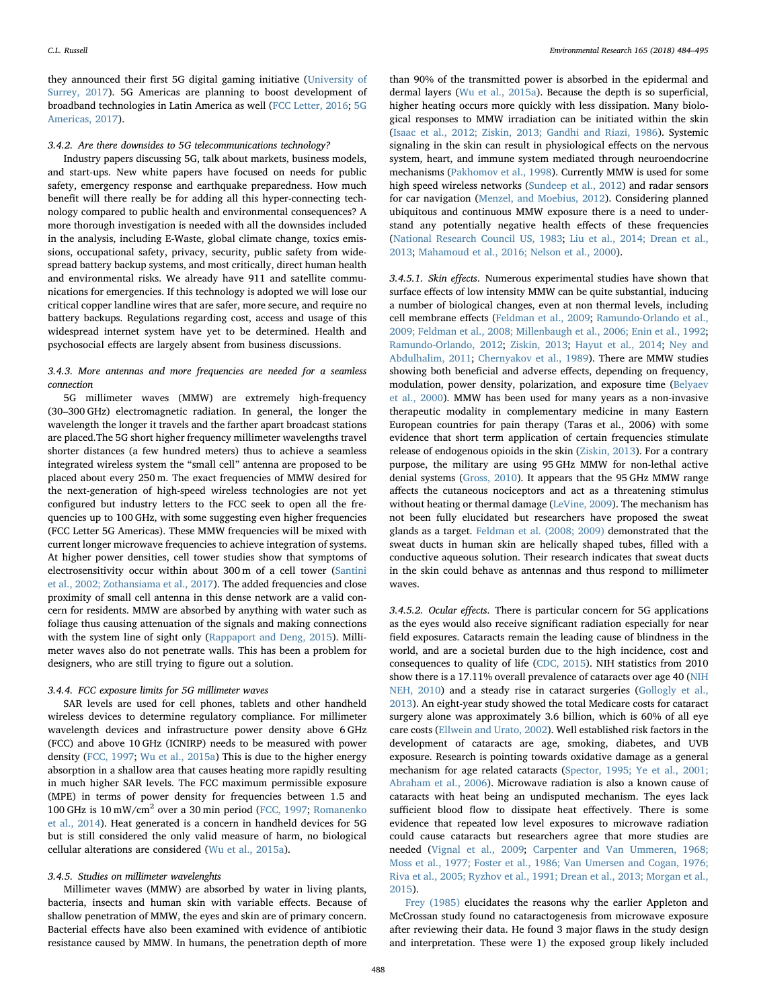they announced their first 5G digital gaming initiative [\(University of](#page-10-12) [Surrey, 2017](#page-10-12)). 5G Americas are planning to boost development of broadband technologies in Latin America as well ([FCC Letter, 2016](#page-8-15); [5G](#page-7-10) [Americas, 2017\)](#page-7-10).

#### 3.4.2. Are there downsides to 5G telecommunications technology?

Industry papers discussing 5G, talk about markets, business models, and start-ups. New white papers have focused on needs for public safety, emergency response and earthquake preparedness. How much benefit will there really be for adding all this hyper-connecting technology compared to public health and environmental consequences? A more thorough investigation is needed with all the downsides included in the analysis, including E-Waste, global climate change, toxics emissions, occupational safety, privacy, security, public safety from widespread battery backup systems, and most critically, direct human health and environmental risks. We already have 911 and satellite communications for emergencies. If this technology is adopted we will lose our critical copper landline wires that are safer, more secure, and require no battery backups. Regulations regarding cost, access and usage of this widespread internet system have yet to be determined. Health and psychosocial effects are largely absent from business discussions.

# 3.4.3. More antennas and more frequencies are needed for a seamless connection

5G millimeter waves (MMW) are extremely high-frequency (30–300 GHz) electromagnetic radiation. In general, the longer the wavelength the longer it travels and the farther apart broadcast stations are placed.The 5G short higher frequency millimeter wavelengths travel shorter distances (a few hundred meters) thus to achieve a seamless integrated wireless system the "small cell" antenna are proposed to be placed about every 250 m. The exact frequencies of MMW desired for the next-generation of high-speed wireless technologies are not yet configured but industry letters to the FCC seek to open all the frequencies up to 100 GHz, with some suggesting even higher frequencies (FCC Letter 5G Americas). These MMW frequencies will be mixed with current longer microwave frequencies to achieve integration of systems. At higher power densities, cell tower studies show that symptoms of electrosensitivity occur within about 300 m of a cell tower ([Santini](#page-10-13) [et al., 2002; Zothansiama et al., 2017\)](#page-10-13). The added frequencies and close proximity of small cell antenna in this dense network are a valid concern for residents. MMW are absorbed by anything with water such as foliage thus causing attenuation of the signals and making connections with the system line of sight only ([Rappaport and Deng, 2015](#page-10-14)). Millimeter waves also do not penetrate walls. This has been a problem for designers, who are still trying to figure out a solution.

### 3.4.4. FCC exposure limits for 5G millimeter waves

SAR levels are used for cell phones, tablets and other handheld wireless devices to determine regulatory compliance. For millimeter wavelength devices and infrastructure power density above 6 GHz (FCC) and above 10 GHz (ICNIRP) needs to be measured with power density ([FCC, 1997;](#page-8-3) [Wu et al., 2015a\)](#page-10-15) This is due to the higher energy absorption in a shallow area that causes heating more rapidly resulting in much higher SAR levels. The FCC maximum permissible exposure (MPE) in terms of power density for frequencies between 1.5 and 100 GHz is 10 mW/cm2 over a 30 min period ([FCC, 1997;](#page-8-3) [Romanenko](#page-10-16) [et al., 2014](#page-10-16)). Heat generated is a concern in handheld devices for 5G but is still considered the only valid measure of harm, no biological cellular alterations are considered [\(Wu et al., 2015a\)](#page-10-15).

#### 3.4.5. Studies on millimeter wavelenghts

Millimeter waves (MMW) are absorbed by water in living plants, bacteria, insects and human skin with variable effects. Because of shallow penetration of MMW, the eyes and skin are of primary concern. Bacterial effects have also been examined with evidence of antibiotic resistance caused by MMW. In humans, the penetration depth of more

than 90% of the transmitted power is absorbed in the epidermal and dermal layers [\(Wu et al., 2015a](#page-10-15)). Because the depth is so superficial, higher heating occurs more quickly with less dissipation. Many biological responses to MMW irradiation can be initiated within the skin ([Isaac et al., 2012; Ziskin, 2013; Gandhi and Riazi, 1986\)](#page-9-18). Systemic signaling in the skin can result in physiological effects on the nervous system, heart, and immune system mediated through neuroendocrine mechanisms ([Pakhomov et al., 1998](#page-10-17)). Currently MMW is used for some high speed wireless networks [\(Sundeep et al., 2012\)](#page-10-18) and radar sensors for car navigation ([Menzel, and Moebius, 2012](#page-9-19)). Considering planned ubiquitous and continuous MMW exposure there is a need to understand any potentially negative health effects of these frequencies ([National Research Council US, 1983;](#page-10-19) [Liu et al., 2014; Drean et al.,](#page-8-16) [2013;](#page-8-16) [Mahamoud et al., 2016; Nelson et al., 2000](#page-9-20)).

3.4.5.1. Skin effects. Numerous experimental studies have shown that surface effects of low intensity MMW can be quite substantial, inducing a number of biological changes, even at non thermal levels, including cell membrane effects [\(Feldman et al., 2009](#page-8-17); [Ramundo-Orlando et al.,](#page-10-20) [2009; Feldman et al., 2008; Millenbaugh et al., 2006; Enin et al., 1992](#page-10-20); [Ramundo-Orlando, 2012;](#page-10-21) [Ziskin, 2013;](#page-11-4) [Hayut et al., 2014](#page-9-21); [Ney and](#page-10-22) [Abdulhalim, 2011](#page-10-22); [Chernyakov et al., 1989](#page-8-18)). There are MMW studies showing both beneficial and adverse effects, depending on frequency, modulation, power density, polarization, and exposure time [\(Belyaev](#page-7-11) [et al., 2000\)](#page-7-11). MMW has been used for many years as a non-invasive therapeutic modality in complementary medicine in many Eastern European countries for pain therapy (Taras et al., 2006) with some evidence that short term application of certain frequencies stimulate release of endogenous opioids in the skin [\(Ziskin, 2013](#page-11-4)). For a contrary purpose, the military are using 95 GHz MMW for non-lethal active denial systems [\(Gross, 2010\)](#page-9-22). It appears that the 95 GHz MMW range affects the cutaneous nociceptors and act as a threatening stimulus without heating or thermal damage [\(LeVine, 2009\)](#page-9-23). The mechanism has not been fully elucidated but researchers have proposed the sweat glands as a target. [Feldman et al. \(2008; 2009\)](#page-8-19) demonstrated that the sweat ducts in human skin are helically shaped tubes, filled with a conductive aqueous solution. Their research indicates that sweat ducts in the skin could behave as antennas and thus respond to millimeter waves.

3.4.5.2. Ocular effects. There is particular concern for 5G applications as the eyes would also receive significant radiation especially for near field exposures. Cataracts remain the leading cause of blindness in the world, and are a societal burden due to the high incidence, cost and consequences to quality of life [\(CDC, 2015](#page-8-20)). NIH statistics from 2010 show there is a 17.11% overall prevalence of cataracts over age 40 [\(NIH](#page-10-23) [NEH, 2010\)](#page-10-23) and a steady rise in cataract surgeries ([Gollogly et al.,](#page-9-24) [2013\)](#page-9-24). An eight-year study showed the total Medicare costs for cataract surgery alone was approximately 3.6 billion, which is 60% of all eye care costs [\(Ellwein and Urato, 2002\)](#page-8-21). Well established risk factors in the development of cataracts are age, smoking, diabetes, and UVB exposure. Research is pointing towards oxidative damage as a general mechanism for age related cataracts ([Spector, 1995; Ye et al., 2001;](#page-10-24) [Abraham et al., 2006](#page-10-24)). Microwave radiation is also a known cause of cataracts with heat being an undisputed mechanism. The eyes lack sufficient blood flow to dissipate heat effectively. There is some evidence that repeated low level exposures to microwave radiation could cause cataracts but researchers agree that more studies are needed ([Vignal et al., 2009](#page-10-25); [Carpenter and Van Ummeren, 1968;](#page-8-22) [Moss et al., 1977; Foster et al., 1986; Van Umersen and Cogan, 1976;](#page-8-22) [Riva et al., 2005; Ryzhov et al., 1991; Drean et al., 2013; Morgan et al.,](#page-8-22) [2015\)](#page-8-22).

[Frey \(1985\)](#page-8-23) elucidates the reasons why the earlier Appleton and McCrossan study found no cataractogenesis from microwave exposure after reviewing their data. He found 3 major flaws in the study design and interpretation. These were 1) the exposed group likely included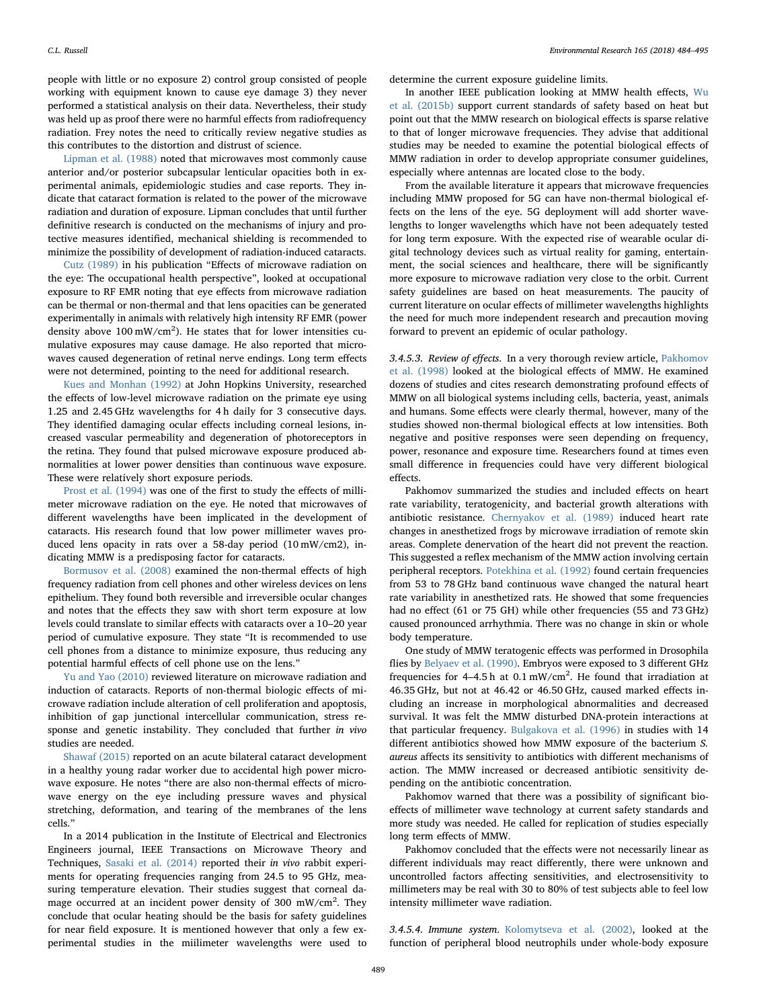people with little or no exposure 2) control group consisted of people working with equipment known to cause eye damage 3) they never performed a statistical analysis on their data. Nevertheless, their study was held up as proof there were no harmful effects from radiofrequency radiation. Frey notes the need to critically review negative studies as this contributes to the distortion and distrust of science.

[Lipman et al. \(1988\)](#page-9-25) noted that microwaves most commonly cause anterior and/or posterior subcapsular lenticular opacities both in experimental animals, epidemiologic studies and case reports. They indicate that cataract formation is related to the power of the microwave radiation and duration of exposure. Lipman concludes that until further definitive research is conducted on the mechanisms of injury and protective measures identified, mechanical shielding is recommended to minimize the possibility of development of radiation-induced cataracts.

[Cutz \(1989\)](#page-8-24) in his publication "Effects of microwave radiation on the eye: The occupational health perspective", looked at occupational exposure to RF EMR noting that eye effects from microwave radiation can be thermal or non-thermal and that lens opacities can be generated experimentally in animals with relatively high intensity RF EMR (power density above  $100 \,\mathrm{mW/cm}^2$ ). He states that for lower intensities cumulative exposures may cause damage. He also reported that microwaves caused degeneration of retinal nerve endings. Long term effects were not determined, pointing to the need for additional research.

[Kues and Monhan \(1992\)](#page-9-26) at John Hopkins University, researched the effects of low-level microwave radiation on the primate eye using 1.25 and 2.45 GHz wavelengths for 4 h daily for 3 consecutive days. They identified damaging ocular effects including corneal lesions, increased vascular permeability and degeneration of photoreceptors in the retina. They found that pulsed microwave exposure produced abnormalities at lower power densities than continuous wave exposure. These were relatively short exposure periods.

[Prost et al. \(1994\)](#page-10-26) was one of the first to study the effects of millimeter microwave radiation on the eye. He noted that microwaves of different wavelengths have been implicated in the development of cataracts. His research found that low power millimeter waves produced lens opacity in rats over a 58-day period (10 mW/cm2), indicating MMW is a predisposing factor for cataracts.

[Bormusov et al. \(2008\)](#page-7-12) examined the non-thermal effects of high frequency radiation from cell phones and other wireless devices on lens epithelium. They found both reversible and irreversible ocular changes and notes that the effects they saw with short term exposure at low levels could translate to similar effects with cataracts over a 10–20 year period of cumulative exposure. They state "It is recommended to use cell phones from a distance to minimize exposure, thus reducing any potential harmful effects of cell phone use on the lens."

[Yu and Yao \(2010\)](#page-11-1) reviewed literature on microwave radiation and induction of cataracts. Reports of non-thermal biologic effects of microwave radiation include alteration of cell proliferation and apoptosis, inhibition of gap junctional intercellular communication, stress response and genetic instability. They concluded that further in vivo studies are needed.

[Shawaf \(2015\)](#page-10-27) reported on an acute bilateral cataract development in a healthy young radar worker due to accidental high power microwave exposure. He notes "there are also non-thermal effects of microwave energy on the eye including pressure waves and physical stretching, deformation, and tearing of the membranes of the lens cells."

In a 2014 publication in the Institute of Electrical and Electronics Engineers journal, IEEE Transactions on Microwave Theory and Techniques, [Sasaki et al. \(2014\)](#page-10-28) reported their in vivo rabbit experiments for operating frequencies ranging from 24.5 to 95 GHz, measuring temperature elevation. Their studies suggest that corneal damage occurred at an incident power density of 300 mW/cm<sup>2</sup>. They conclude that ocular heating should be the basis for safety guidelines for near field exposure. It is mentioned however that only a few experimental studies in the miilimeter wavelengths were used to determine the current exposure guideline limits.

In another IEEE publication looking at MMW health effects, [Wu](#page-10-29) [et al. \(2015b\)](#page-10-29) support current standards of safety based on heat but point out that the MMW research on biological effects is sparse relative to that of longer microwave frequencies. They advise that additional studies may be needed to examine the potential biological effects of MMW radiation in order to develop appropriate consumer guidelines, especially where antennas are located close to the body.

From the available literature it appears that microwave frequencies including MMW proposed for 5G can have non-thermal biological effects on the lens of the eye. 5G deployment will add shorter wavelengths to longer wavelengths which have not been adequately tested for long term exposure. With the expected rise of wearable ocular digital technology devices such as virtual reality for gaming, entertainment, the social sciences and healthcare, there will be significantly more exposure to microwave radiation very close to the orbit. Current safety guidelines are based on heat measurements. The paucity of current literature on ocular effects of millimeter wavelengths highlights the need for much more independent research and precaution moving forward to prevent an epidemic of ocular pathology.

3.4.5.3. Review of effects. In a very thorough review article, [Pakhomov](#page-10-17) [et al. \(1998\)](#page-10-17) looked at the biological effects of MMW. He examined dozens of studies and cites research demonstrating profound effects of MMW on all biological systems including cells, bacteria, yeast, animals and humans. Some effects were clearly thermal, however, many of the studies showed non-thermal biological effects at low intensities. Both negative and positive responses were seen depending on frequency, power, resonance and exposure time. Researchers found at times even small difference in frequencies could have very different biological effects.

Pakhomov summarized the studies and included effects on heart rate variability, teratogenicity, and bacterial growth alterations with antibiotic resistance. [Chernyakov et al. \(1989\)](#page-8-18) induced heart rate changes in anesthetized frogs by microwave irradiation of remote skin areas. Complete denervation of the heart did not prevent the reaction. This suggested a reflex mechanism of the MMW action involving certain peripheral receptors. [Potekhina et al. \(1992\)](#page-10-30) found certain frequencies from 53 to 78 GHz band continuous wave changed the natural heart rate variability in anesthetized rats. He showed that some frequencies had no effect (61 or 75 GH) while other frequencies (55 and 73 GHz) caused pronounced arrhythmia. There was no change in skin or whole body temperature.

One study of MMW teratogenic effects was performed in Drosophila flies by [Belyaev et al. \(1990\)](#page-7-13). Embryos were exposed to 3 different GHz frequencies for  $4-4.5 h$  at  $0.1 \text{ mW/cm}^2$ . He found that irradiation at 46.35 GHz, but not at 46.42 or 46.50 GHz, caused marked effects including an increase in morphological abnormalities and decreased survival. It was felt the MMW disturbed DNA-protein interactions at that particular frequency. [Bulgakova et al. \(1996\)](#page-8-25) in studies with 14 different antibiotics showed how MMW exposure of the bacterium S. aureus affects its sensitivity to antibiotics with different mechanisms of action. The MMW increased or decreased antibiotic sensitivity depending on the antibiotic concentration.

Pakhomov warned that there was a possibility of significant bioeffects of millimeter wave technology at current safety standards and more study was needed. He called for replication of studies especially long term effects of MMW.

Pakhomov concluded that the effects were not necessarily linear as different individuals may react differently, there were unknown and uncontrolled factors affecting sensitivities, and electrosensitivity to millimeters may be real with 30 to 80% of test subjects able to feel low intensity millimeter wave radiation.

3.4.5.4. Immune system. [Kolomytseva et al. \(2002\),](#page-9-27) looked at the function of peripheral blood neutrophils under whole-body exposure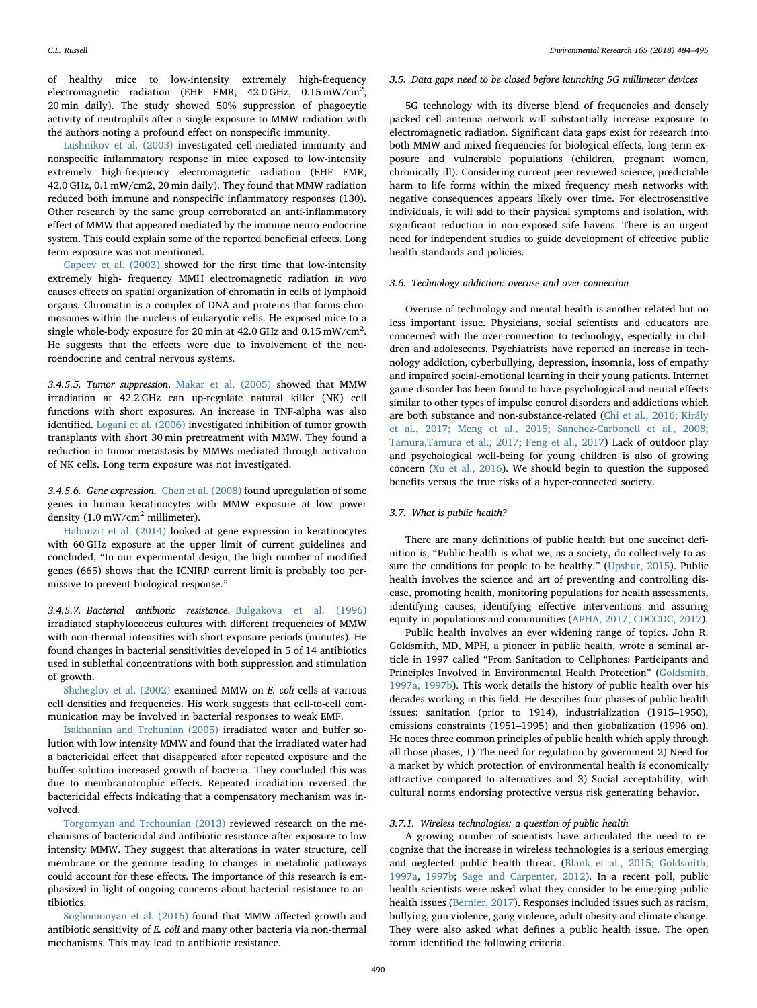of healthy mice to low-intensity extremely high-frequency electromagnetic radiation (EHF EMR, 42.0 GHz,  $0.15 \text{ mW/cm}^2$ , 20 min daily). The study showed 50% suppression of phagocytic activity of neutrophils after a single exposure to MMW radiation with the authors noting a profound effect on nonspecific immunity.

[Lushnikov et al. \(2003\)](#page-9-28) investigated cell-mediated immunity and nonspecific inflammatory response in mice exposed to low-intensity extremely high-frequency electromagnetic radiation (EHF EMR, 42.0 GHz, 0.1 mW/cm2, 20 min daily). They found that MMW radiation reduced both immune and nonspecific inflammatory responses (130). Other research by the same group corroborated an anti-inflammatory effect of MMW that appeared mediated by the immune neuro-endocrine system. This could explain some of the reported beneficial effects. Long term exposure was not mentioned.

[Gapeev et al. \(2003\)](#page-8-26) showed for the first time that low-intensity extremely high- frequency MMH electromagnetic radiation in vivo causes effects on spatial organization of chromatin in cells of lymphoid organs. Chromatin is a complex of DNA and proteins that forms chromosomes within the nucleus of eukaryotic cells. He exposed mice to a single whole-body exposure for 20 min at 42.0 GHz and 0.15 mW/cm $^2$ . He suggests that the effects were due to involvement of the neuroendocrine and central nervous systems.

3.4.5.5. Tumor suppression. [Makar et al. \(2005\)](#page-9-29) showed that MMW irradiation at 42.2 GHz can up-regulate natural killer (NK) cell functions with short exposures. An increase in TNF-alpha was also identified. [Logani et al. \(2006\)](#page-9-30) investigated inhibition of tumor growth transplants with short 30 min pretreatment with MMW. They found a reduction in tumor metastasis by MMWs mediated through activation of NK cells. Long term exposure was not investigated.

3.4.5.6. Gene expression. [Chen et al. \(2008\)](#page-8-27) found upregulation of some genes in human keratinocytes with MMW exposure at low power density  $(1.0 \text{ mW/cm}^2 \text{ millimeter})$ .

[Habauzit et al. \(2014\)](#page-9-31) looked at gene expression in keratinocytes with 60 GHz exposure at the upper limit of current guidelines and concluded, "In our experimental design, the high number of modified genes (665) shows that the ICNIRP current limit is probably too permissive to prevent biological response."

3.4.5.7. Bacterial antibiotic resistance. [Bulgakova et al. \(1996\)](#page-8-25) irradiated staphylococcus cultures with different frequencies of MMW with non-thermal intensities with short exposure periods (minutes). He found changes in bacterial sensitivities developed in 5 of 14 antibiotics used in sublethal concentrations with both suppression and stimulation of growth.

[Shcheglov et al. \(2002\)](#page-10-31) examined MMW on E. coli cells at various cell densities and frequencies. His work suggests that cell-to-cell communication may be involved in bacterial responses to weak EMF.

[Isakhanian and Trchunian \(2005\)](#page-9-32) irradiated water and buffer solution with low intensity MMW and found that the irradiated water had a bactericidal effect that disappeared after repeated exposure and the buffer solution increased growth of bacteria. They concluded this was due to membranotrophic effects. Repeated irradiation reversed the bactericidal effects indicating that a compensatory mechanism was involved.

[Torgomyan and Trchounian \(2013\)](#page-10-32) reviewed research on the mechanisms of bactericidal and antibiotic resistance after exposure to low intensity MMW. They suggest that alterations in water structure, cell membrane or the genome leading to changes in metabolic pathways could account for these effects. The importance of this research is emphasized in light of ongoing concerns about bacterial resistance to antibiotics.

[Soghomonyan et al. \(2016\)](#page-10-33) found that MMW affected growth and antibiotic sensitivity of E. coli and many other bacteria via non-thermal mechanisms. This may lead to antibiotic resistance.

#### 3.5. Data gaps need to be closed before launching 5G millimeter devices

5G technology with its diverse blend of frequencies and densely packed cell antenna network will substantially increase exposure to electromagnetic radiation. Significant data gaps exist for research into both MMW and mixed frequencies for biological effects, long term exposure and vulnerable populations (children, pregnant women, chronically ill). Considering current peer reviewed science, predictable harm to life forms within the mixed frequency mesh networks with negative consequences appears likely over time. For electrosensitive individuals, it will add to their physical symptoms and isolation, with significant reduction in non-exposed safe havens. There is an urgent need for independent studies to guide development of effective public health standards and policies.

#### 3.6. Technology addiction: overuse and over-connection

Overuse of technology and mental health is another related but no less important issue. Physicians, social scientists and educators are concerned with the over-connection to technology, especially in children and adolescents. Psychiatrists have reported an increase in technology addiction, cyberbullying, depression, insomnia, loss of empathy and impaired social-emotional learning in their young patients. Internet game disorder has been found to have psychological and neural effects similar to other types of impulse control disorders and addictions which are both substance and non-substance-related [\(Chi et al., 2016; Király](#page-8-28) [et al., 2017; Meng et al., 2015; Sanchez-Carbonell et al., 2008;](#page-8-28) [Tamura,Tamura et al., 2017](#page-8-28); [Feng et al., 2017\)](#page-8-29) Lack of outdoor play and psychological well-being for young children is also of growing concern ([Xu et al., 2016](#page-11-5)). We should begin to question the supposed benefits versus the true risks of a hyper-connected society.

# 3.7. What is public health?

There are many definitions of public health but one succinct definition is, "Public health is what we, as a society, do collectively to assure the conditions for people to be healthy." [\(Upshur, 2015](#page-10-34)). Public health involves the science and art of preventing and controlling disease, promoting health, monitoring populations for health assessments, identifying causes, identifying effective interventions and assuring equity in populations and communities [\(APHA, 2017; CDCCDC, 2017](#page-7-14)).

Public health involves an ever widening range of topics. John R. Goldsmith, MD, MPH, a pioneer in public health, wrote a seminal article in 1997 called "From Sanitation to Cellphones: Participants and Principles Involved in Environmental Health Protection" [\(Goldsmith,](#page-8-30) [1997a, 1997b\)](#page-8-30). This work details the history of public health over his decades working in this field. He describes four phases of public health issues: sanitation (prior to 1914), industrialization (1915–1950), emissions constraints (1951–1995) and then globalization (1996 on). He notes three common principles of public health which apply through all those phases, 1) The need for regulation by government 2) Need for a market by which protection of environmental health is economically attractive compared to alternatives and 3) Social acceptability, with cultural norms endorsing protective versus risk generating behavior.

# 3.7.1. Wireless technologies: a question of public health

A growing number of scientists have articulated the need to recognize that the increase in wireless technologies is a serious emerging and neglected public health threat. ([Blank et al., 2015; Goldsmith,](#page-7-3) [1997a,](#page-7-3) [1997b](#page-9-33); [Sage and Carpenter, 2012\)](#page-10-1). In a recent poll, public health scientists were asked what they consider to be emerging public health issues [\(Bernier, 2017](#page-7-15)). Responses included issues such as racism, bullying, gun violence, gang violence, adult obesity and climate change. They were also asked what defines a public health issue. The open forum identified the following criteria.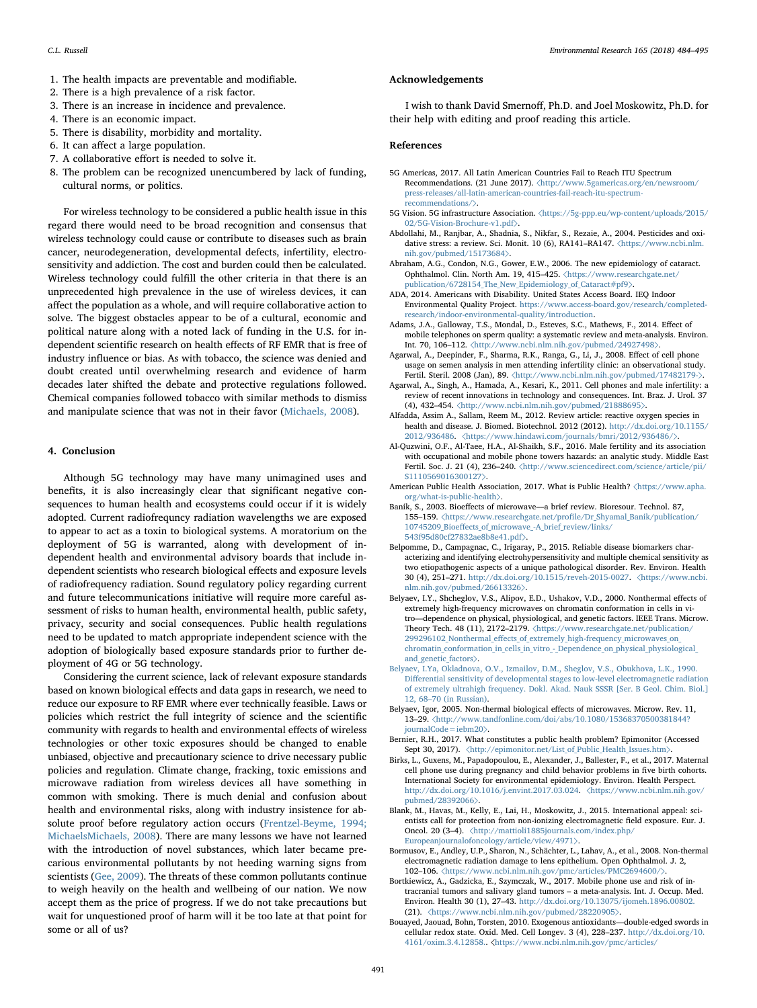- 1. The health impacts are preventable and modifiable.
- 2. There is a high prevalence of a risk factor.
- 3. There is an increase in incidence and prevalence.
- 4. There is an economic impact.
- 5. There is disability, morbidity and mortality.
- 6. It can affect a large population.
- 7. A collaborative effort is needed to solve it.
- 8. The problem can be recognized unencumbered by lack of funding, cultural norms, or politics.

For wireless technology to be considered a public health issue in this regard there would need to be broad recognition and consensus that wireless technology could cause or contribute to diseases such as brain cancer, neurodegeneration, developmental defects, infertility, electrosensitivity and addiction. The cost and burden could then be calculated. Wireless technology could fulfill the other criteria in that there is an unprecedented high prevalence in the use of wireless devices, it can affect the population as a whole, and will require collaborative action to solve. The biggest obstacles appear to be of a cultural, economic and political nature along with a noted lack of funding in the U.S. for independent scientific research on health effects of RF EMR that is free of industry influence or bias. As with tobacco, the science was denied and doubt created until overwhelming research and evidence of harm decades later shifted the debate and protective regulations followed. Chemical companies followed tobacco with similar methods to dismiss and manipulate science that was not in their favor ([Michaels, 2008\)](#page-9-34).

# 4. Conclusion

Although 5G technology may have many unimagined uses and benefits, it is also increasingly clear that significant negative consequences to human health and ecosystems could occur if it is widely adopted. Current radiofrequncy radiation wavelengths we are exposed to appear to act as a toxin to biological systems. A moratorium on the deployment of 5G is warranted, along with development of independent health and environmental advisory boards that include independent scientists who research biological effects and exposure levels of radiofrequency radiation. Sound regulatory policy regarding current and future telecommunications initiative will require more careful assessment of risks to human health, environmental health, public safety, privacy, security and social consequences. Public health regulations need to be updated to match appropriate independent science with the adoption of biologically based exposure standards prior to further deployment of 4G or 5G technology.

Considering the current science, lack of relevant exposure standards based on known biological effects and data gaps in research, we need to reduce our exposure to RF EMR where ever technically feasible. Laws or policies which restrict the full integrity of science and the scientific community with regards to health and environmental effects of wireless technologies or other toxic exposures should be changed to enable unbiased, objective and precautionary science to drive necessary public policies and regulation. Climate change, fracking, toxic emissions and microwave radiation from wireless devices all have something in common with smoking. There is much denial and confusion about health and environmental risks, along with industry insistence for absolute proof before regulatory action occurs ([Frentzel-Beyme, 1994;](#page-8-31) [MichaelsMichaels, 2008\)](#page-8-31). There are many lessons we have not learned with the introduction of novel substances, which later became precarious environmental pollutants by not heeding warning signs from scientists ([Gee, 2009](#page-8-32)). The threats of these common pollutants continue to weigh heavily on the health and wellbeing of our nation. We now accept them as the price of progress. If we do not take precautions but wait for unquestioned proof of harm will it be too late at that point for some or all of us?

#### Acknowledgements

I wish to thank David Smernoff, Ph.D. and Joel Moskowitz, Ph.D. for their help with editing and proof reading this article.

#### References

- <span id="page-7-10"></span>5G Americas, 2017. All Latin American Countries Fail to Reach ITU Spectrum Recommendations. (21 June 2017). 〈[http://www.5gamericas.org/en/newsroom/](http://www.5gamericas.org/en/newsroom/press-releases/all-latin-american-countries-fail-reach-itu-spectrum-recommendations/) [press-releases/all-latin-american-countries-fail-reach-itu-spectrum](http://www.5gamericas.org/en/newsroom/press-releases/all-latin-american-countries-fail-reach-itu-spectrum-recommendations/)[recommendations/](http://www.5gamericas.org/en/newsroom/press-releases/all-latin-american-countries-fail-reach-itu-spectrum-recommendations/)〉.
- <span id="page-7-4"></span>5G Vision. 5G infrastructure Association. 〈[https://5g-ppp.eu/wp-content/uploads/2015/](https://5g-ppp.eu/wp-content/uploads/2015/02/5G-Vision-Brochure-v1.pdf) [02/5G-Vision-Brochure-v1.pdf](https://5g-ppp.eu/wp-content/uploads/2015/02/5G-Vision-Brochure-v1.pdf)〉.
- <span id="page-7-7"></span>Abdollahi, M., Ranjbar, A., Shadnia, S., Nikfar, S., Rezaie, A., 2004. Pesticides and oxidative stress: a review. Sci. Monit. 10 (6), RA141–RA147. 〈[https://www.ncbi.nlm.](https://www.ncbi.nlm.nih.gov/pubmed/15173684) [nih.gov/pubmed/15173684](https://www.ncbi.nlm.nih.gov/pubmed/15173684)〉.
- Abraham, A.G., Condon, N.G., Gower, E.W., 2006. The new epidemiology of cataract. Ophthalmol. Clin. North Am. 19, 415–425. 〈[https://www.researchgate.net/](https://www.researchgate.net/publication/6728154_The_New_Epidemiology_of_Cataract#pf9) [publication/6728154\\_The\\_New\\_Epidemiology\\_of\\_Cataract#pf9](https://www.researchgate.net/publication/6728154_The_New_Epidemiology_of_Cataract#pf9)〉.
- <span id="page-7-9"></span>ADA, 2014. Americans with Disability. United States Access Board. IEQ Indoor Environmental Quality Project. [https://www.access-board.gov/research/completed](https://www.access-board.gov/research/completed-research/indoor-environmental-quality/introduction)[research/indoor-environmental-quality/introduction.](https://www.access-board.gov/research/completed-research/indoor-environmental-quality/introduction)
- Adams, J.A., Galloway, T.S., Mondal, D., Esteves, S.C., Mathews, F., 2014. Effect of mobile telephones on sperm quality: a systematic review and meta-analysis. Environ. Int. 70, 106–112. 〈<http://www.ncbi.nlm.nih.gov/pubmed/24927498>〉.
- <span id="page-7-6"></span>Agarwal, A., Deepinder, F., Sharma, R.K., Ranga, G., Li, J., 2008. Effect of cell phone usage on semen analysis in men attending infertility clinic: an observational study. Fertil. Steril. 2008 (Jan), 89. 〈<http://www.ncbi.nlm.nih.gov/pubmed/17482179->〉.
- <span id="page-7-5"></span>Agarwal, A., Singh, A., Hamada, A., Kesari, K., 2011. Cell phones and male infertility: a review of recent innovations in technology and consequences. Int. Braz. J. Urol. 37 (4), 432–454. 〈<http://www.ncbi.nlm.nih.gov/pubmed/21888695>〉.
- <span id="page-7-8"></span>Alfadda, Assim A., Sallam, Reem M., 2012. Review article: reactive oxygen species in health and disease. J. Biomed. Biotechnol. 2012 (2012). [http://dx.doi.org/10.1155/](http://dx.doi.org/10.1155/2012/936486) 2012/936486. 〈[https://www.hindawi.com/journals/bmri/2012/936486/](http://dx.doi.org/10.1155/2012/936486)〉.
- Al-Quzwini, O.F., Al-Taee, H.A., Al-Shaikh, S.F., 2016. Male fertility and its association with occupational and mobile phone towers hazards: an analytic study. Middle East Fertil. Soc. J. 21 (4), 236–240. 〈[http://www.sciencedirect.com/science/article/pii/](http://www.sciencedirect.com/science/article/pii/S1110569016300127) [S1110569016300127](http://www.sciencedirect.com/science/article/pii/S1110569016300127)〉.
- <span id="page-7-14"></span>American Public Health Association, 2017. What is Public Health? 〈[https://www.apha.](https://www.apha.org/what-is-public-health) [org/what-is-public-health](https://www.apha.org/what-is-public-health)〉.
- Banik, S., 2003. Bioeffects of microwave—a brief review. Bioresour. Technol. 87, 155–159. 〈[https://www.researchgate.net/pro](https://www.researchgate.net/profile/Dr_Shyamal_Banik/publication/10745209_Bioeffects_of_microwave_-A_brief_review/links/543f95d80cf27832ae8b8e41.pdf)file/Dr\_Shyamal\_Banik/publication/ 10745209\_Bioeff[ects\\_of\\_microwave\\_-A\\_brief\\_review/links/](https://www.researchgate.net/profile/Dr_Shyamal_Banik/publication/10745209_Bioeffects_of_microwave_-A_brief_review/links/543f95d80cf27832ae8b8e41.pdf) [543f95d80cf27832ae8b8e41.pdf](https://www.researchgate.net/profile/Dr_Shyamal_Banik/publication/10745209_Bioeffects_of_microwave_-A_brief_review/links/543f95d80cf27832ae8b8e41.pdf)〉.
- Belpomme, D., Campagnac, C., Irigaray, P., 2015. Reliable disease biomarkers characterizing and identifying electrohypersensitivity and multiple chemical sensitivity as two etiopathogenic aspects of a unique pathological disorder. Rev. Environ. Health 30 (4), 251–271. [http://dx.doi.org/10.1515/reveh-2015-0027.](http://dx.doi.org/10.1515/reveh-2015-0027) 〈https://www.ncbi. [nlm.nih.gov/pubmed/26613326](https://www.ncbi.nlm.nih.gov/pubmed/26613326)〉.
- <span id="page-7-11"></span>Belyaev, I.Y., Shcheglov, V.S., Alipov, E.D., Ushakov, V.D., 2000. Nonthermal effects of extremely high-frequency microwaves on chromatin conformation in cells in vitro—dependence on physical, physiological, and genetic factors. IEEE Trans. Microw. Theory Tech. 48 (11), 2172–2179. 〈[https://www.researchgate.net/publication/](https://www.researchgate.net/publication/299296102_Nonthermal_effects_of_extremely_high-frequency_microwaves_on_chromatin_conformation_in_cells_in_vitro_-_Dependence_on_physical_physiological_and_genetic_factors) 299296102\_Nonthermal\_eff[ects\\_of\\_extremely\\_high-frequency\\_microwaves\\_on\\_](https://www.researchgate.net/publication/299296102_Nonthermal_effects_of_extremely_high-frequency_microwaves_on_chromatin_conformation_in_cells_in_vitro_-_Dependence_on_physical_physiological_and_genetic_factors) [chromatin\\_conformation\\_in\\_cells\\_in\\_vitro\\_-\\_Dependence\\_on\\_physical\\_physiological\\_](https://www.researchgate.net/publication/299296102_Nonthermal_effects_of_extremely_high-frequency_microwaves_on_chromatin_conformation_in_cells_in_vitro_-_Dependence_on_physical_physiological_and_genetic_factors) and genetic factors〉.
- <span id="page-7-13"></span>[Belyaev, I.Ya, Okladnova, O.V., Izmailov, D.M., Sheglov, V.S., Obukhova, L.K., 1990.](http://refhub.elsevier.com/S0013-9351(18)30016-1/sbref11) Diff[erential sensitivity of developmental stages to low-level electromagnetic radiation](http://refhub.elsevier.com/S0013-9351(18)30016-1/sbref11) [of extremely ultrahigh frequency. Dokl. Akad. Nauk SSSR \[Ser. B Geol. Chim. Biol.\]](http://refhub.elsevier.com/S0013-9351(18)30016-1/sbref11) 12, 68–[70 \(in Russian\)](http://refhub.elsevier.com/S0013-9351(18)30016-1/sbref11).
- <span id="page-7-1"></span>Belyaev, Igor, 2005. Non-thermal biological effects of microwaves. Microw. Rev. 11, 13–29. 〈[http://www.tandfonline.com/doi/abs/10.1080/15368370500381844?](http://www.tandfonline.com/doi/abs/10.1080/15368370500381844?journalCode=iebm20)  $journalCode=iebm20$
- <span id="page-7-15"></span>Bernier, R.H., 2017. What constitutes a public health problem? Epimonitor (Accessed Sept 30, 2017). <[http://epimonitor.net/List\\_of\\_Public\\_Health\\_Issues.htm](http://epimonitor.net/List_of_Public_Health_Issues.htm)>.
- <span id="page-7-2"></span>Birks, L., Guxens, M., Papadopoulou, E., Alexander, J., Ballester, F., et al., 2017. Maternal cell phone use during pregnancy and child behavior problems in five birth cohorts. International Society for environmental epidemiology. Environ. Health Perspect. [http://dx.doi.org/10.1016/j.envint.2017.03.024.](http://dx.doi.org/10.1016/j.envint.2017.03.024) 〈https://www.ncbi.nlm.nih.gov/ [pubmed/28392066](https://www.ncbi.nlm.nih.gov/pubmed/28392066)〉.
- <span id="page-7-3"></span>Blank, M., Havas, M., Kelly, E., Lai, H., Moskowitz, J., 2015. International appeal: scientists call for protection from non-ionizing electromagnetic field exposure. Eur. J. Oncol. 20 (3–4). 〈[http://mattioli1885journals.com/index.php/](http://mattioli1885journals.com/index.php/Europeanjournalofoncology/article/view/4971) [Europeanjournalofoncology/article/view/4971](http://mattioli1885journals.com/index.php/Europeanjournalofoncology/article/view/4971)〉.
- <span id="page-7-12"></span>Bormusov, E., Andley, U.P., Sharon, N., Schächter, L., Lahav, A., et al., 2008. Non-thermal electromagnetic radiation damage to lens epithelium. Open Ophthalmol. J. 2, 102–106. 〈<https://www.ncbi.nlm.nih.gov/pmc/articles/PMC2694600/>〉.
- <span id="page-7-0"></span>Bortkiewicz, A., Gadzicka, E., Szymczak, W., 2017. Mobile phone use and risk of intracranial tumors and salivary gland tumors – a meta-analysis. Int. J. Occup. Med. Environ. Health 30 (1), 27–43. [http://dx.doi.org/10.13075/ijomeh.1896.00802.](http://dx.doi.org/10.13075/ijomeh.1896.00802) (21). 〈[https://www.ncbi.nlm.nih.gov/pubmed/28220905](http://dx.doi.org/10.13075/ijomeh.1896.00802)〉.
- Bouayed, Jaouad, Bohn, Torsten, 2010. Exogenous antioxidants—double-edged swords in cellular redox state. Oxid. Med. Cell Longev. 3 (4), 228–237. [http://dx.doi.org/10.](http://dx.doi.org/10.4161/oxim.3.4.12858) 4161/oxim.3.4.12858.. 〈[https://www.ncbi.nlm.nih.gov/pmc/articles/](http://dx.doi.org/10.4161/oxim.3.4.12858)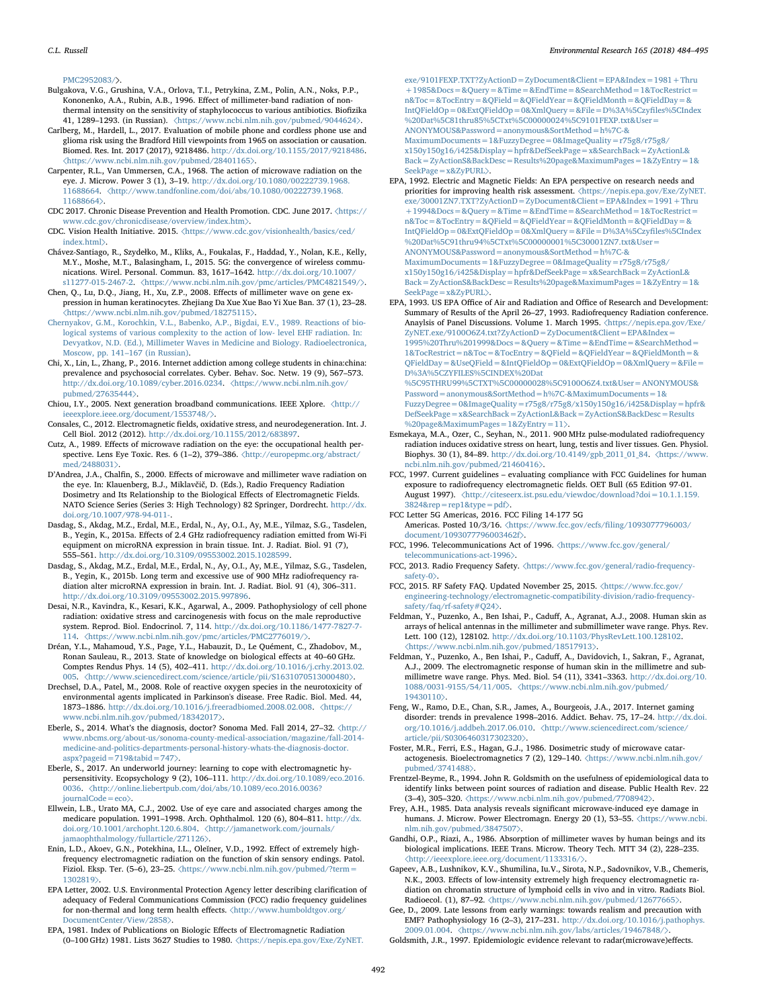#### [PMC2952083/](https://www.ncbi.nlm.nih.gov/pmc/articles/PMC2952083/)〉.

- <span id="page-8-25"></span>Bulgakova, V.G., Grushina, V.A., Orlova, T.I., Petrykina, Z.M., Polin, A.N., Noks, P.P., Kononenko, A.A., Rubin, A.B., 1996. Effect of millimeter-band radiation of nonthermal intensity on the sensitivity of staphylococcus to various antibiotics. Biofizika 41, 1289–1293. (in Russian). 〈<https://www.ncbi.nlm.nih.gov/pubmed/9044624>〉.
- Carlberg, M., Hardell, L., 2017. Evaluation of mobile phone and cordless phone use and glioma risk using the Bradford Hill viewpoints from 1965 on association or causation. Biomed. Res. Int. 2017 (2017), 9218486. [http://dx.doi.org/10.1155/2017/9218486.](http://dx.doi.org/10.1155/2017/9218486) 〈<https://www.ncbi.nlm.nih.gov/pubmed/28401165>〉.
- <span id="page-8-22"></span>Carpenter, R.L., Van Ummersen, C.A., 1968. The action of microwave radiation on the eye. J. Microw. Power 3 (1), 3–19. [http://dx.doi.org/10.1080/00222739.1968.](http://dx.doi.org/10.1080/00222739.1968.11688664) 11688664. 〈[http://www.tandfonline.com/doi/abs/10.1080/00222739.1968.](http://dx.doi.org/10.1080/00222739.1968.11688664) [11688664](http://www.tandfonline.com/doi/abs/10.1080/00222739.1968.11688664)〉.
- <span id="page-8-0"></span>CDC 2017. Chronic Disease Prevention and Health Promotion. CDC. June 2017. 〈[https://](https://www.cdc.gov/chronicdisease/overview/index.htm) [www.cdc.gov/chronicdisease/overview/index.htm](https://www.cdc.gov/chronicdisease/overview/index.htm)〉.
- <span id="page-8-20"></span>CDC. Vision Health Initiative. 2015. 〈[https://www.cdc.gov/visionhealth/basics/ced/](https://www.cdc.gov/visionhealth/basics/ced/index.html) [index.html](https://www.cdc.gov/visionhealth/basics/ced/index.html)〉.
- <span id="page-8-11"></span>Chávez-Santiago, R., Szydełko, M., Kliks, A., Foukalas, F., Haddad, Y., Nolan, K.E., Kelly, M.Y., Moshe, M.T., Balasingham, I., 2015. 5G: the convergence of wireless communications. Wirel. Personal. Commun. 83, 1617–1642. [http://dx.doi.org/10.1007/](http://dx.doi.org/10.1007/s11277-015-2467-2) s11277-015-2467-2. 〈[https://www.ncbi.nlm.nih.gov/pmc/articles/PMC4821549/](http://dx.doi.org/10.1007/s11277-015-2467-2)〉.
- <span id="page-8-27"></span>Chen, Q., Lu, D.Q., Jiang, H., Xu, Z.P., 2008. Effects of millimeter wave on gene expression in human keratinocytes. Zhejiang Da Xue Xue Bao Yi Xue Ban. 37 (1), 23–28. 〈<https://www.ncbi.nlm.nih.gov/pubmed/18275115>〉.
- <span id="page-8-18"></span>[Chernyakov, G.M., Korochkin, V.L., Babenko, A.P., Bigdai, E.V., 1989. Reactions of bio](http://refhub.elsevier.com/S0013-9351(18)30016-1/sbref24)[logical systems of various complexity to the action of low- level EHF radiation. In:](http://refhub.elsevier.com/S0013-9351(18)30016-1/sbref24) [Devyatkov, N.D. \(Ed.\), Millimeter Waves in Medicine and Biology. Radioelectronica,](http://refhub.elsevier.com/S0013-9351(18)30016-1/sbref24) [Moscow, pp. 141](http://refhub.elsevier.com/S0013-9351(18)30016-1/sbref24)–167 (in Russian).
- <span id="page-8-28"></span>Chi, X., Lin, L., Zhang, P., 2016. Internet addiction among college students in china:china: prevalence and psychosocial correlates. Cyber. Behav. Soc. Netw. 19 (9), 567–573. [http://dx.doi.org/10.1089/cyber.2016.0234.](http://dx.doi.org/10.1089/cyber.2016.0234) 〈https://www.ncbi.nlm.nih.gov/ [pubmed/27635444](https://www.ncbi.nlm.nih.gov/pubmed/27635444)〉.
- <span id="page-8-10"></span>Chiou, I.Y., 2005. Next generation broadband communications. IEEE Xplore. 〈[http://](http://ieeexplore.ieee.org/document/1553748/) [ieeexplore.ieee.org/document/1553748/](http://ieeexplore.ieee.org/document/1553748/)〉.
- Consales, C., 2012. Electromagnetic fields, oxidative stress, and neurodegeneration. Int. J. Cell Biol. 2012 (2012). <http://dx.doi.org/10.1155/2012/683897>.
- <span id="page-8-24"></span>Cutz, A., 1989. Effects of microwave radiation on the eye: the occupational health perspective. Lens Eye Toxic. Res. 6 (1-2), 379-386. <[http://europepmc.org/abstract/](http://europepmc.org/abstract/med/2488031) [med/2488031](http://europepmc.org/abstract/med/2488031)〉.
- D'Andrea, J.A., Chalfin, S., 2000. Effects of microwave and millimeter wave radiation on the eye. In: Klauenberg, B.J., Miklavčič, D. (Eds.), Radio Frequency Radiation Dosimetry and Its Relationship to the Biological Effects of Electromagnetic Fields. NATO Science Series (Series 3: High Technology) 82 Springer, Dordrecht. [http://dx.](http://dx.doi.org/10.1007/978-94-011-) [doi.org/10.1007/978-94-011-](http://dx.doi.org/10.1007/978-94-011-).
- <span id="page-8-12"></span>Dasdag, S., Akdag, M.Z., Erdal, M.E., Erdal, N., Ay, O.I., Ay, M.E., Yilmaz, S.G., Tasdelen, B., Yegin, K., 2015a. Effects of 2.4 GHz radiofrequency radiation emitted from Wi-Fi equipment on microRNA expression in brain tissue. Int. J. Radiat. Biol. 91 (7), 555–561. [http://dx.doi.org/10.3109/09553002.2015.1028599.](http://dx.doi.org/10.3109/09553002.2015.1028599)
- Dasdag, S., Akdag, M.Z., Erdal, M.E., Erdal, N., Ay, O.I., Ay, M.E., Yilmaz, S.G., Tasdelen, B., Yegin, K., 2015b. Long term and excessive use of 900 MHz radiofrequency radiation alter microRNA expression in brain. Int. J. Radiat. Biol. 91 (4), 306–311. [http://dx.doi.org/10.3109/09553002.2015.997896.](http://dx.doi.org/10.3109/09553002.2015.997896)
- Desai, N.R., Kavindra, K., Kesari, K.K., Agarwal, A., 2009. Pathophysiology of cell phone radiation: oxidative stress and carcinogenesis with focus on the male reproductive system. Reprod. Biol. Endocrinol. 7, 114. [http://dx.doi.org/10.1186/1477-7827-7-](http://dx.doi.org/10.1186/1477-7827-7-114) 114. 〈[https://www.ncbi.nlm.nih.gov/pmc/articles/PMC2776019/](http://dx.doi.org/10.1186/1477-7827-7-114)〉.
- <span id="page-8-16"></span>Dréan, Y.L., Mahamoud, Y.S., Page, Y.L., Habauzit, D., Le Quément, C., Zhadobov, M., Ronan Sauleau, R., 2013. State of knowledge on biological effects at 40–60 GHz. Comptes Rendus Phys. 14 (5), 402–411. [http://dx.doi.org/10.1016/j.crhy.2013.02.](http://dx.doi.org/10.1016/j.crhy.2013.02.005) 005. 〈[http://www.sciencedirect.com/science/article/pii/S1631070513000480](http://dx.doi.org/10.1016/j.crhy.2013.02.005)〉.
- <span id="page-8-13"></span>Drechsel, D.A., Patel, M., 2008. Role of reactive oxygen species in the neurotoxicity of environmental agents implicated in Parkinson's disease. Free Radic. Biol. Med. 44, 1873–1886. [http://dx.doi.org/10.1016/j.freeradbiomed.2008.02.008.](http://dx.doi.org/10.1016/j.freeradbiomed.2008.02.008) 〈https:// [www.ncbi.nlm.nih.gov/pubmed/18342017](https://www.ncbi.nlm.nih.gov/pubmed/18342017)〉.
- <span id="page-8-14"></span>Eberle, S., 2014. What's the diagnosis, doctor? Sonoma Med. Fall 2014, 27–32. 〈[http://](http://www.nbcms.org/about-us/sonoma-county-medical-association/magazine/fall-2014-medicine-and-politics-departments-personal-history-whats-the-diagnosis-doctor.aspx?pageid=719&tabid=747) [www.nbcms.org/about-us/sonoma-county-medical-association/magazine/fall-2014](http://www.nbcms.org/about-us/sonoma-county-medical-association/magazine/fall-2014-medicine-and-politics-departments-personal-history-whats-the-diagnosis-doctor.aspx?pageid=719&tabid=747) [medicine-and-politics-departments-personal-history-whats-the-diagnosis-doctor.](http://www.nbcms.org/about-us/sonoma-county-medical-association/magazine/fall-2014-medicine-and-politics-departments-personal-history-whats-the-diagnosis-doctor.aspx?pageid=719&tabid=747) [aspx?pageid=719&tabid=747](http://www.nbcms.org/about-us/sonoma-county-medical-association/magazine/fall-2014-medicine-and-politics-departments-personal-history-whats-the-diagnosis-doctor.aspx?pageid=719&tabid=747)〉.
- Eberle, S., 2017. An underworld journey: learning to cope with electromagnetic hypersensitivity. Ecopsychology 9 (2), 106–111. [http://dx.doi.org/10.1089/eco.2016.](http://dx.doi.org/10.1089/eco.2016.0036) 0036. 〈[http://online.liebertpub.com/doi/abs/10.1089/eco.2016.0036?](http://dx.doi.org/10.1089/eco.2016.0036) [journalCode=eco](http://online.liebertpub.com/doi/abs/10.1089/eco.2016.0036?journalCode=eco)〉.
- <span id="page-8-21"></span>Ellwein, L.B., Urato MA, C.J., 2002. Use of eye care and associated charges among the medicare population. 1991–1998. Arch. Ophthalmol. 120 (6), 804–811. [http://dx.](http://dx.doi.org/10.1001/archopht.120.6.804) [doi.org/10.1001/archopht.120.6.804.](http://dx.doi.org/10.1001/archopht.120.6.804) 〈http://jamanetwork.com/journals/ [jamaophthalmology/fullarticle/271126](http://jamanetwork.com/journals/jamaophthalmology/fullarticle/271126)〉.
- Enin, L.D., Akoev, G.N., Potekhina, I.L., Oleĭner, V.D., 1992. Effect of extremely highfrequency electromagnetic radiation on the function of skin sensory endings. Patol. Fiziol. Eksp. Ter. (5–6), 23–25. 〈[https://www.ncbi.nlm.nih.gov/pubmed/?term=](https://www.ncbi.nlm.nih.gov/pubmed/?term=1302819) [1302819](https://www.ncbi.nlm.nih.gov/pubmed/?term=1302819)〉.
- <span id="page-8-9"></span>EPA Letter, 2002. U.S. Environmental Protection Agency letter describing clarification of adequacy of Federal Communications Commission (FCC) radio frequency guidelines for non-thermal and long term health effects. 〈[http://www.humboldtgov.org/](http://www.humboldtgov.org/DocumentCenter/View/2858) [DocumentCenter/View/2858](http://www.humboldtgov.org/DocumentCenter/View/2858)〉.
- <span id="page-8-7"></span>EPA, 1981. Index of Publications on Biologic Effects of Electromagnetic Radiation (0–100 GHz) 1981. Lists 3627 Studies to 1980. 〈[https://nepis.epa.gov/Exe/ZyNET.](https://nepis.epa.gov/Exe/ZyNET.exe/9101FEXP.TXT?ZyActionD=ZyDocument&Client=EPA&Index=1981+hru+Docs=&Query=&Time=&EndTime=&SearchMethod=1&TocRestrict=n&Toc=&TocEntry=&QField=&QFieldYear=&QFieldMonth=&QFieldDay=&IntQFieldOp=0&ExtQFieldOp=0&XmlQuery=&File=D%3A%5Czyfiles%5CIndex%20Dat%5C81thru85%5CTxt%5C00000024%5C9101FEXP.txt&User=ANONYMOUS&Password=anonymous&SortMethod=h%7C-&MaximumDocuments=1&FuzzyDegree=0&ImageQuality=r75g8/r75g8/x150y150g16/i425&Display=hpfr&DefSeekPage=x&SearchBack=ZyActionL&Back=ZyActionS&BackDesc=Results%20page&MaximumPages=1&ZyEntry=1&SeekPage=x&ZyPURL)

[exe/9101FEXP.TXT?ZyActionD=ZyDocument&Client=EPA&Index=1981+Thru](https://nepis.epa.gov/Exe/ZyNET.exe/9101FEXP.TXT?ZyActionD=ZyDocument&Client=EPA&Index=1981+hru+Docs=&Query=&Time=&EndTime=&SearchMethod=1&TocRestrict=n&Toc=&TocEntry=&QField=&QFieldYear=&QFieldMonth=&QFieldDay=&IntQFieldOp=0&ExtQFieldOp=0&XmlQuery=&File=D%3A%5Czyfiles%5CIndex%20Dat%5C81thru85%5CTxt%5C00000024%5C9101FEXP.txt&User=ANONYMOUS&Password=anonymous&SortMethod=h%7C-&MaximumDocuments=1&FuzzyDegree=0&ImageQuality=r75g8/r75g8/x150y150g16/i425&Display=hpfr&DefSeekPage=x&SearchBack=ZyActionL&Back=ZyActionS&BackDesc=Results%20page&MaximumPages=1&ZyEntry=1&SeekPage=x&ZyPURL) [+1985&Docs=&Query=&Time=&EndTime=&SearchMethod=1&TocRestrict=](https://nepis.epa.gov/Exe/ZyNET.exe/9101FEXP.TXT?ZyActionD=ZyDocument&Client=EPA&Index=1981+hru+Docs=&Query=&Time=&EndTime=&SearchMethod=1&TocRestrict=n&Toc=&TocEntry=&QField=&QFieldYear=&QFieldMonth=&QFieldDay=&IntQFieldOp=0&ExtQFieldOp=0&XmlQuery=&File=D%3A%5Czyfiles%5CIndex%20Dat%5C81thru85%5CTxt%5C00000024%5C9101FEXP.txt&User=ANONYMOUS&Password=anonymous&SortMethod=h%7C-&MaximumDocuments=1&FuzzyDegree=0&ImageQuality=r75g8/r75g8/x150y150g16/i425&Display=hpfr&DefSeekPage=x&SearchBack=ZyActionL&Back=ZyActionS&BackDesc=Results%20page&MaximumPages=1&ZyEntry=1&SeekPage=x&ZyPURL) [n&Toc=&TocEntry=&QField=&QFieldYear=&QFieldMonth=&QFieldDay=&](https://nepis.epa.gov/Exe/ZyNET.exe/9101FEXP.TXT?ZyActionD=ZyDocument&Client=EPA&Index=1981+hru+Docs=&Query=&Time=&EndTime=&SearchMethod=1&TocRestrict=n&Toc=&TocEntry=&QField=&QFieldYear=&QFieldMonth=&QFieldDay=&IntQFieldOp=0&ExtQFieldOp=0&XmlQuery=&File=D%3A%5Czyfiles%5CIndex%20Dat%5C81thru85%5CTxt%5C00000024%5C9101FEXP.txt&User=ANONYMOUS&Password=anonymous&SortMethod=h%7C-&MaximumDocuments=1&FuzzyDegree=0&ImageQuality=r75g8/r75g8/x150y150g16/i425&Display=hpfr&DefSeekPage=x&SearchBack=ZyActionL&Back=ZyActionS&BackDesc=Results%20page&MaximumPages=1&ZyEntry=1&SeekPage=x&ZyPURL) [IntQFieldOp=0&ExtQFieldOp=0&XmlQuery=&File=D%3A%5Czy](https://nepis.epa.gov/Exe/ZyNET.exe/9101FEXP.TXT?ZyActionD=ZyDocument&Client=EPA&Index=1981+hru+Docs=&Query=&Time=&EndTime=&SearchMethod=1&TocRestrict=n&Toc=&TocEntry=&QField=&QFieldYear=&QFieldMonth=&QFieldDay=&IntQFieldOp=0&ExtQFieldOp=0&XmlQuery=&File=D%3A%5Czyfiles%5CIndex%20Dat%5C81thru85%5CTxt%5C00000024%5C9101FEXP.txt&User=ANONYMOUS&Password=anonymous&SortMethod=h%7C-&MaximumDocuments=1&FuzzyDegree=0&ImageQuality=r75g8/r75g8/x150y150g16/i425&Display=hpfr&DefSeekPage=x&SearchBack=ZyActionL&Back=ZyActionS&BackDesc=Results%20page&MaximumPages=1&ZyEntry=1&SeekPage=x&ZyPURL)files%5CIndex [%20Dat%5C81thru85%5CTxt%5C00000024%5C9101FEXP.txt&User=](https://nepis.epa.gov/Exe/ZyNET.exe/9101FEXP.TXT?ZyActionD=ZyDocument&Client=EPA&Index=1981+hru+Docs=&Query=&Time=&EndTime=&SearchMethod=1&TocRestrict=n&Toc=&TocEntry=&QField=&QFieldYear=&QFieldMonth=&QFieldDay=&IntQFieldOp=0&ExtQFieldOp=0&XmlQuery=&File=D%3A%5Czyfiles%5CIndex%20Dat%5C81thru85%5CTxt%5C00000024%5C9101FEXP.txt&User=ANONYMOUS&Password=anonymous&SortMethod=h%7C-&MaximumDocuments=1&FuzzyDegree=0&ImageQuality=r75g8/r75g8/x150y150g16/i425&Display=hpfr&DefSeekPage=x&SearchBack=ZyActionL&Back=ZyActionS&BackDesc=Results%20page&MaximumPages=1&ZyEntry=1&SeekPage=x&ZyPURL) [ANONYMOUS&Password=anonymous&SortMethod=h%7C-&](https://nepis.epa.gov/Exe/ZyNET.exe/9101FEXP.TXT?ZyActionD=ZyDocument&Client=EPA&Index=1981+hru+Docs=&Query=&Time=&EndTime=&SearchMethod=1&TocRestrict=n&Toc=&TocEntry=&QField=&QFieldYear=&QFieldMonth=&QFieldDay=&IntQFieldOp=0&ExtQFieldOp=0&XmlQuery=&File=D%3A%5Czyfiles%5CIndex%20Dat%5C81thru85%5CTxt%5C00000024%5C9101FEXP.txt&User=ANONYMOUS&Password=anonymous&SortMethod=h%7C-&MaximumDocuments=1&FuzzyDegree=0&ImageQuality=r75g8/r75g8/x150y150g16/i425&Display=hpfr&DefSeekPage=x&SearchBack=ZyActionL&Back=ZyActionS&BackDesc=Results%20page&MaximumPages=1&ZyEntry=1&SeekPage=x&ZyPURL) [MaximumDocuments=1&FuzzyDegree=0&ImageQuality=r75g8/r75g8/](https://nepis.epa.gov/Exe/ZyNET.exe/9101FEXP.TXT?ZyActionD=ZyDocument&Client=EPA&Index=1981+hru+Docs=&Query=&Time=&EndTime=&SearchMethod=1&TocRestrict=n&Toc=&TocEntry=&QField=&QFieldYear=&QFieldMonth=&QFieldDay=&IntQFieldOp=0&ExtQFieldOp=0&XmlQuery=&File=D%3A%5Czyfiles%5CIndex%20Dat%5C81thru85%5CTxt%5C00000024%5C9101FEXP.txt&User=ANONYMOUS&Password=anonymous&SortMethod=h%7C-&MaximumDocuments=1&FuzzyDegree=0&ImageQuality=r75g8/r75g8/x150y150g16/i425&Display=hpfr&DefSeekPage=x&SearchBack=ZyActionL&Back=ZyActionS&BackDesc=Results%20page&MaximumPages=1&ZyEntry=1&SeekPage=x&ZyPURL) [x150y150g16/i425&Display=hpfr&DefSeekPage=x&SearchBack=ZyActionL&](https://nepis.epa.gov/Exe/ZyNET.exe/9101FEXP.TXT?ZyActionD=ZyDocument&Client=EPA&Index=1981+hru+Docs=&Query=&Time=&EndTime=&SearchMethod=1&TocRestrict=n&Toc=&TocEntry=&QField=&QFieldYear=&QFieldMonth=&QFieldDay=&IntQFieldOp=0&ExtQFieldOp=0&XmlQuery=&File=D%3A%5Czyfiles%5CIndex%20Dat%5C81thru85%5CTxt%5C00000024%5C9101FEXP.txt&User=ANONYMOUS&Password=anonymous&SortMethod=h%7C-&MaximumDocuments=1&FuzzyDegree=0&ImageQuality=r75g8/r75g8/x150y150g16/i425&Display=hpfr&DefSeekPage=x&SearchBack=ZyActionL&Back=ZyActionS&BackDesc=Results%20page&MaximumPages=1&ZyEntry=1&SeekPage=x&ZyPURL) [Back=ZyActionS&BackDesc=Results%20page&MaximumPages=1&ZyEntry=1&](https://nepis.epa.gov/Exe/ZyNET.exe/9101FEXP.TXT?ZyActionD=ZyDocument&Client=EPA&Index=1981+hru+Docs=&Query=&Time=&EndTime=&SearchMethod=1&TocRestrict=n&Toc=&TocEntry=&QField=&QFieldYear=&QFieldMonth=&QFieldDay=&IntQFieldOp=0&ExtQFieldOp=0&XmlQuery=&File=D%3A%5Czyfiles%5CIndex%20Dat%5C81thru85%5CTxt%5C00000024%5C9101FEXP.txt&User=ANONYMOUS&Password=anonymous&SortMethod=h%7C-&MaximumDocuments=1&FuzzyDegree=0&ImageQuality=r75g8/r75g8/x150y150g16/i425&Display=hpfr&DefSeekPage=x&SearchBack=ZyActionL&Back=ZyActionS&BackDesc=Results%20page&MaximumPages=1&ZyEntry=1&SeekPage=x&ZyPURL) [SeekPage=x&ZyPURL](https://nepis.epa.gov/Exe/ZyNET.exe/9101FEXP.TXT?ZyActionD=ZyDocument&Client=EPA&Index=1981+hru+Docs=&Query=&Time=&EndTime=&SearchMethod=1&TocRestrict=n&Toc=&TocEntry=&QField=&QFieldYear=&QFieldMonth=&QFieldDay=&IntQFieldOp=0&ExtQFieldOp=0&XmlQuery=&File=D%3A%5Czyfiles%5CIndex%20Dat%5C81thru85%5CTxt%5C00000024%5C9101FEXP.txt&User=ANONYMOUS&Password=anonymous&SortMethod=h%7C-&MaximumDocuments=1&FuzzyDegree=0&ImageQuality=r75g8/r75g8/x150y150g16/i425&Display=hpfr&DefSeekPage=x&SearchBack=ZyActionL&Back=ZyActionS&BackDesc=Results%20page&MaximumPages=1&ZyEntry=1&SeekPage=x&ZyPURL)〉.

- <span id="page-8-1"></span>EPA, 1992. Electric and Magnetic Fields: An EPA perspective on research needs and priorities for improving health risk assessment. 〈[https://nepis.epa.gov/Exe/ZyNET.](https://nepis.epa.gov/Exe/ZyNET.exe/30001ZN7.TXT?ZyActionD=ZyDocument&Client=EPA&Index=1991+hru+Docs=&Query=&Time=&EndTime=&SearchMethod=1&TocRestrict=n&Toc=&TocEntry=&QField=&QFieldYear=&QFieldMonth=&QFieldDay=&IntQFieldOp=0&ExtQFieldOp=0&XmlQuery=&File=D%3A%5Czyfiles%5CIndex%20Dat%5C91thru94%5CTxt%5C00000001%5C30001ZN7.txt&User=ANONYMOUS&Password=anonymous&SortMethod=h%7C-&MaximumDocuments=1&FuzzyDegree=0&ImageQuality=r75g8/r75g8/x150y150g16/i425&Display=hpfr&DefSeekPage=x&SearchBack=ZyActionL&Back=ZyActionS&BackDesc=Results%20page&MaximumPages=1&ZyEntry=1&SeekPage=x&ZyPURL) [exe/30001ZN7.TXT?ZyActionD=ZyDocument&Client=EPA&Index=1991+Thru](https://nepis.epa.gov/Exe/ZyNET.exe/30001ZN7.TXT?ZyActionD=ZyDocument&Client=EPA&Index=1991+hru+Docs=&Query=&Time=&EndTime=&SearchMethod=1&TocRestrict=n&Toc=&TocEntry=&QField=&QFieldYear=&QFieldMonth=&QFieldDay=&IntQFieldOp=0&ExtQFieldOp=0&XmlQuery=&File=D%3A%5Czyfiles%5CIndex%20Dat%5C91thru94%5CTxt%5C00000001%5C30001ZN7.txt&User=ANONYMOUS&Password=anonymous&SortMethod=h%7C-&MaximumDocuments=1&FuzzyDegree=0&ImageQuality=r75g8/r75g8/x150y150g16/i425&Display=hpfr&DefSeekPage=x&SearchBack=ZyActionL&Back=ZyActionS&BackDesc=Results%20page&MaximumPages=1&ZyEntry=1&SeekPage=x&ZyPURL) [+1994&Docs=&Query=&Time=&EndTime=&SearchMethod=1&TocRestrict=](https://nepis.epa.gov/Exe/ZyNET.exe/30001ZN7.TXT?ZyActionD=ZyDocument&Client=EPA&Index=1991+hru+Docs=&Query=&Time=&EndTime=&SearchMethod=1&TocRestrict=n&Toc=&TocEntry=&QField=&QFieldYear=&QFieldMonth=&QFieldDay=&IntQFieldOp=0&ExtQFieldOp=0&XmlQuery=&File=D%3A%5Czyfiles%5CIndex%20Dat%5C91thru94%5CTxt%5C00000001%5C30001ZN7.txt&User=ANONYMOUS&Password=anonymous&SortMethod=h%7C-&MaximumDocuments=1&FuzzyDegree=0&ImageQuality=r75g8/r75g8/x150y150g16/i425&Display=hpfr&DefSeekPage=x&SearchBack=ZyActionL&Back=ZyActionS&BackDesc=Results%20page&MaximumPages=1&ZyEntry=1&SeekPage=x&ZyPURL) [n&Toc=&TocEntry=&QField=&QFieldYear=&QFieldMonth=&QFieldDay=&](https://nepis.epa.gov/Exe/ZyNET.exe/30001ZN7.TXT?ZyActionD=ZyDocument&Client=EPA&Index=1991+hru+Docs=&Query=&Time=&EndTime=&SearchMethod=1&TocRestrict=n&Toc=&TocEntry=&QField=&QFieldYear=&QFieldMonth=&QFieldDay=&IntQFieldOp=0&ExtQFieldOp=0&XmlQuery=&File=D%3A%5Czyfiles%5CIndex%20Dat%5C91thru94%5CTxt%5C00000001%5C30001ZN7.txt&User=ANONYMOUS&Password=anonymous&SortMethod=h%7C-&MaximumDocuments=1&FuzzyDegree=0&ImageQuality=r75g8/r75g8/x150y150g16/i425&Display=hpfr&DefSeekPage=x&SearchBack=ZyActionL&Back=ZyActionS&BackDesc=Results%20page&MaximumPages=1&ZyEntry=1&SeekPage=x&ZyPURL) [IntQFieldOp=0&ExtQFieldOp=0&XmlQuery=&File=D%3A%5Czy](https://nepis.epa.gov/Exe/ZyNET.exe/30001ZN7.TXT?ZyActionD=ZyDocument&Client=EPA&Index=1991+hru+Docs=&Query=&Time=&EndTime=&SearchMethod=1&TocRestrict=n&Toc=&TocEntry=&QField=&QFieldYear=&QFieldMonth=&QFieldDay=&IntQFieldOp=0&ExtQFieldOp=0&XmlQuery=&File=D%3A%5Czyfiles%5CIndex%20Dat%5C91thru94%5CTxt%5C00000001%5C30001ZN7.txt&User=ANONYMOUS&Password=anonymous&SortMethod=h%7C-&MaximumDocuments=1&FuzzyDegree=0&ImageQuality=r75g8/r75g8/x150y150g16/i425&Display=hpfr&DefSeekPage=x&SearchBack=ZyActionL&Back=ZyActionS&BackDesc=Results%20page&MaximumPages=1&ZyEntry=1&SeekPage=x&ZyPURL)files%5CIndex [%20Dat%5C91thru94%5CTxt%5C00000001%5C30001ZN7.txt&User=](https://nepis.epa.gov/Exe/ZyNET.exe/30001ZN7.TXT?ZyActionD=ZyDocument&Client=EPA&Index=1991+hru+Docs=&Query=&Time=&EndTime=&SearchMethod=1&TocRestrict=n&Toc=&TocEntry=&QField=&QFieldYear=&QFieldMonth=&QFieldDay=&IntQFieldOp=0&ExtQFieldOp=0&XmlQuery=&File=D%3A%5Czyfiles%5CIndex%20Dat%5C91thru94%5CTxt%5C00000001%5C30001ZN7.txt&User=ANONYMOUS&Password=anonymous&SortMethod=h%7C-&MaximumDocuments=1&FuzzyDegree=0&ImageQuality=r75g8/r75g8/x150y150g16/i425&Display=hpfr&DefSeekPage=x&SearchBack=ZyActionL&Back=ZyActionS&BackDesc=Results%20page&MaximumPages=1&ZyEntry=1&SeekPage=x&ZyPURL) [ANONYMOUS&Password=anonymous&SortMethod=h%7C-&](https://nepis.epa.gov/Exe/ZyNET.exe/30001ZN7.TXT?ZyActionD=ZyDocument&Client=EPA&Index=1991+hru+Docs=&Query=&Time=&EndTime=&SearchMethod=1&TocRestrict=n&Toc=&TocEntry=&QField=&QFieldYear=&QFieldMonth=&QFieldDay=&IntQFieldOp=0&ExtQFieldOp=0&XmlQuery=&File=D%3A%5Czyfiles%5CIndex%20Dat%5C91thru94%5CTxt%5C00000001%5C30001ZN7.txt&User=ANONYMOUS&Password=anonymous&SortMethod=h%7C-&MaximumDocuments=1&FuzzyDegree=0&ImageQuality=r75g8/r75g8/x150y150g16/i425&Display=hpfr&DefSeekPage=x&SearchBack=ZyActionL&Back=ZyActionS&BackDesc=Results%20page&MaximumPages=1&ZyEntry=1&SeekPage=x&ZyPURL) [MaximumDocuments=1&FuzzyDegree=0&ImageQuality=r75g8/r75g8/](https://nepis.epa.gov/Exe/ZyNET.exe/30001ZN7.TXT?ZyActionD=ZyDocument&Client=EPA&Index=1991+hru+Docs=&Query=&Time=&EndTime=&SearchMethod=1&TocRestrict=n&Toc=&TocEntry=&QField=&QFieldYear=&QFieldMonth=&QFieldDay=&IntQFieldOp=0&ExtQFieldOp=0&XmlQuery=&File=D%3A%5Czyfiles%5CIndex%20Dat%5C91thru94%5CTxt%5C00000001%5C30001ZN7.txt&User=ANONYMOUS&Password=anonymous&SortMethod=h%7C-&MaximumDocuments=1&FuzzyDegree=0&ImageQuality=r75g8/r75g8/x150y150g16/i425&Display=hpfr&DefSeekPage=x&SearchBack=ZyActionL&Back=ZyActionS&BackDesc=Results%20page&MaximumPages=1&ZyEntry=1&SeekPage=x&ZyPURL) [x150y150g16/i425&Display=hpfr&DefSeekPage=x&SearchBack=ZyActionL&](https://nepis.epa.gov/Exe/ZyNET.exe/30001ZN7.TXT?ZyActionD=ZyDocument&Client=EPA&Index=1991+hru+Docs=&Query=&Time=&EndTime=&SearchMethod=1&TocRestrict=n&Toc=&TocEntry=&QField=&QFieldYear=&QFieldMonth=&QFieldDay=&IntQFieldOp=0&ExtQFieldOp=0&XmlQuery=&File=D%3A%5Czyfiles%5CIndex%20Dat%5C91thru94%5CTxt%5C00000001%5C30001ZN7.txt&User=ANONYMOUS&Password=anonymous&SortMethod=h%7C-&MaximumDocuments=1&FuzzyDegree=0&ImageQuality=r75g8/r75g8/x150y150g16/i425&Display=hpfr&DefSeekPage=x&SearchBack=ZyActionL&Back=ZyActionS&BackDesc=Results%20page&MaximumPages=1&ZyEntry=1&SeekPage=x&ZyPURL) [Back=ZyActionS&BackDesc=Results%20page&MaximumPages=1&ZyEntry=1&](https://nepis.epa.gov/Exe/ZyNET.exe/30001ZN7.TXT?ZyActionD=ZyDocument&Client=EPA&Index=1991+hru+Docs=&Query=&Time=&EndTime=&SearchMethod=1&TocRestrict=n&Toc=&TocEntry=&QField=&QFieldYear=&QFieldMonth=&QFieldDay=&IntQFieldOp=0&ExtQFieldOp=0&XmlQuery=&File=D%3A%5Czyfiles%5CIndex%20Dat%5C91thru94%5CTxt%5C00000001%5C30001ZN7.txt&User=ANONYMOUS&Password=anonymous&SortMethod=h%7C-&MaximumDocuments=1&FuzzyDegree=0&ImageQuality=r75g8/r75g8/x150y150g16/i425&Display=hpfr&DefSeekPage=x&SearchBack=ZyActionL&Back=ZyActionS&BackDesc=Results%20page&MaximumPages=1&ZyEntry=1&SeekPage=x&ZyPURL) [SeekPage=x&ZyPURL](https://nepis.epa.gov/Exe/ZyNET.exe/30001ZN7.TXT?ZyActionD=ZyDocument&Client=EPA&Index=1991+hru+Docs=&Query=&Time=&EndTime=&SearchMethod=1&TocRestrict=n&Toc=&TocEntry=&QField=&QFieldYear=&QFieldMonth=&QFieldDay=&IntQFieldOp=0&ExtQFieldOp=0&XmlQuery=&File=D%3A%5Czyfiles%5CIndex%20Dat%5C91thru94%5CTxt%5C00000001%5C30001ZN7.txt&User=ANONYMOUS&Password=anonymous&SortMethod=h%7C-&MaximumDocuments=1&FuzzyDegree=0&ImageQuality=r75g8/r75g8/x150y150g16/i425&Display=hpfr&DefSeekPage=x&SearchBack=ZyActionL&Back=ZyActionS&BackDesc=Results%20page&MaximumPages=1&ZyEntry=1&SeekPage=x&ZyPURL)〉.
- <span id="page-8-8"></span>EPA, 1993. US EPA Office of Air and Radiation and Office of Research and Development: Summary of Results of the April 26–27, 1993. Radiofrequency Radiation conference. Anaylsis of Panel Discussions. Volume 1. March 1995. 〈[https://nepis.epa.gov/Exe/](https://nepis.epa.gov/Exe/ZyNET.exe/9100O6Z4.txt?ZyActionD=ZyDocument&Client=EPA&Index=1995%20Thru%201999&Docs=&Query=&Time=&EndTime=&SearchMethod=1&TocRestrict=n&Toc=&TocEntry=&QField=&QFieldYear=&QFieldMonth=&QFieldDay=&UseQField=&IntQFieldOp=0&ExtQFieldOp=0&XmlQuery=&File=D%3A%5CZYFILES%5CINDEX%20Dat%5C95THRU99%5CTXT%5C00000028%5C9100O6Z4.txt&User=ANONYMOUS&Password=anonymous&SortMethod=h%7C-&MaximumDocuments=1&FuzzyDegree=0&ImageQuality=r75g8/r75g8/x150y150g16/i425&Display=hpfr&DefSeekPage=x&SearchBack=ZyActionL&Back=ZyActionS&BackDesc=Results%20page&MaximumPages=1&ZyEntry=11) [ZyNET.exe/9100O6Z4.txt?ZyActionD=ZyDocument&Client=EPA&Index=](https://nepis.epa.gov/Exe/ZyNET.exe/9100O6Z4.txt?ZyActionD=ZyDocument&Client=EPA&Index=1995%20Thru%201999&Docs=&Query=&Time=&EndTime=&SearchMethod=1&TocRestrict=n&Toc=&TocEntry=&QField=&QFieldYear=&QFieldMonth=&QFieldDay=&UseQField=&IntQFieldOp=0&ExtQFieldOp=0&XmlQuery=&File=D%3A%5CZYFILES%5CINDEX%20Dat%5C95THRU99%5CTXT%5C00000028%5C9100O6Z4.txt&User=ANONYMOUS&Password=anonymous&SortMethod=h%7C-&MaximumDocuments=1&FuzzyDegree=0&ImageQuality=r75g8/r75g8/x150y150g16/i425&Display=hpfr&DefSeekPage=x&SearchBack=ZyActionL&Back=ZyActionS&BackDesc=Results%20page&MaximumPages=1&ZyEntry=11)  $1995\%20$ Thru%201999&Docs=&Query=&Time=&EndTime=&SearchMethod= [1&TocRestrict=n&Toc=&TocEntry=&QField=&QFieldYear=&QFieldMonth=&](https://nepis.epa.gov/Exe/ZyNET.exe/9100O6Z4.txt?ZyActionD=ZyDocument&Client=EPA&Index=1995%20Thru%201999&Docs=&Query=&Time=&EndTime=&SearchMethod=1&TocRestrict=n&Toc=&TocEntry=&QField=&QFieldYear=&QFieldMonth=&QFieldDay=&UseQField=&IntQFieldOp=0&ExtQFieldOp=0&XmlQuery=&File=D%3A%5CZYFILES%5CINDEX%20Dat%5C95THRU99%5CTXT%5C00000028%5C9100O6Z4.txt&User=ANONYMOUS&Password=anonymous&SortMethod=h%7C-&MaximumDocuments=1&FuzzyDegree=0&ImageQuality=r75g8/r75g8/x150y150g16/i425&Display=hpfr&DefSeekPage=x&SearchBack=ZyActionL&Back=ZyActionS&BackDesc=Results%20page&MaximumPages=1&ZyEntry=11) [QFieldDay=&UseQField=&IntQFieldOp=0&ExtQFieldOp=0&XmlQuery=&File=](https://nepis.epa.gov/Exe/ZyNET.exe/9100O6Z4.txt?ZyActionD=ZyDocument&Client=EPA&Index=1995%20Thru%201999&Docs=&Query=&Time=&EndTime=&SearchMethod=1&TocRestrict=n&Toc=&TocEntry=&QField=&QFieldYear=&QFieldMonth=&QFieldDay=&UseQField=&IntQFieldOp=0&ExtQFieldOp=0&XmlQuery=&File=D%3A%5CZYFILES%5CINDEX%20Dat%5C95THRU99%5CTXT%5C00000028%5C9100O6Z4.txt&User=ANONYMOUS&Password=anonymous&SortMethod=h%7C-&MaximumDocuments=1&FuzzyDegree=0&ImageQuality=r75g8/r75g8/x150y150g16/i425&Display=hpfr&DefSeekPage=x&SearchBack=ZyActionL&Back=ZyActionS&BackDesc=Results%20page&MaximumPages=1&ZyEntry=11) [D%3A%5CZYFILES%5CINDEX%20Dat](https://nepis.epa.gov/Exe/ZyNET.exe/9100O6Z4.txt?ZyActionD=ZyDocument&Client=EPA&Index=1995%20Thru%201999&Docs=&Query=&Time=&EndTime=&SearchMethod=1&TocRestrict=n&Toc=&TocEntry=&QField=&QFieldYear=&QFieldMonth=&QFieldDay=&UseQField=&IntQFieldOp=0&ExtQFieldOp=0&XmlQuery=&File=D%3A%5CZYFILES%5CINDEX%20Dat%5C95THRU99%5CTXT%5C00000028%5C9100O6Z4.txt&User=ANONYMOUS&Password=anonymous&SortMethod=h%7C-&MaximumDocuments=1&FuzzyDegree=0&ImageQuality=r75g8/r75g8/x150y150g16/i425&Display=hpfr&DefSeekPage=x&SearchBack=ZyActionL&Back=ZyActionS&BackDesc=Results%20page&MaximumPages=1&ZyEntry=11) [%5C95THRU99%5CTXT%5C00000028%5C9100O6Z4.txt&User=ANONYMOUS&](https://nepis.epa.gov/Exe/ZyNET.exe/9100O6Z4.txt?ZyActionD=ZyDocument&Client=EPA&Index=1995%20Thru%201999&Docs=&Query=&Time=&EndTime=&SearchMethod=1&TocRestrict=n&Toc=&TocEntry=&QField=&QFieldYear=&QFieldMonth=&QFieldDay=&UseQField=&IntQFieldOp=0&ExtQFieldOp=0&XmlQuery=&File=D%3A%5CZYFILES%5CINDEX%20Dat%5C95THRU99%5CTXT%5C00000028%5C9100O6Z4.txt&User=ANONYMOUS&Password=anonymous&SortMethod=h%7C-&MaximumDocuments=1&FuzzyDegree=0&ImageQuality=r75g8/r75g8/x150y150g16/i425&Display=hpfr&DefSeekPage=x&SearchBack=ZyActionL&Back=ZyActionS&BackDesc=Results%20page&MaximumPages=1&ZyEntry=11) [Password=anonymous&SortMethod=h%7C-&MaximumDocuments=1&](https://nepis.epa.gov/Exe/ZyNET.exe/9100O6Z4.txt?ZyActionD=ZyDocument&Client=EPA&Index=1995%20Thru%201999&Docs=&Query=&Time=&EndTime=&SearchMethod=1&TocRestrict=n&Toc=&TocEntry=&QField=&QFieldYear=&QFieldMonth=&QFieldDay=&UseQField=&IntQFieldOp=0&ExtQFieldOp=0&XmlQuery=&File=D%3A%5CZYFILES%5CINDEX%20Dat%5C95THRU99%5CTXT%5C00000028%5C9100O6Z4.txt&User=ANONYMOUS&Password=anonymous&SortMethod=h%7C-&MaximumDocuments=1&FuzzyDegree=0&ImageQuality=r75g8/r75g8/x150y150g16/i425&Display=hpfr&DefSeekPage=x&SearchBack=ZyActionL&Back=ZyActionS&BackDesc=Results%20page&MaximumPages=1&ZyEntry=11) [FuzzyDegree=0&ImageQuality=r75g8/r75g8/x150y150g16/i425&Display=hpfr&](https://nepis.epa.gov/Exe/ZyNET.exe/9100O6Z4.txt?ZyActionD=ZyDocument&Client=EPA&Index=1995%20Thru%201999&Docs=&Query=&Time=&EndTime=&SearchMethod=1&TocRestrict=n&Toc=&TocEntry=&QField=&QFieldYear=&QFieldMonth=&QFieldDay=&UseQField=&IntQFieldOp=0&ExtQFieldOp=0&XmlQuery=&File=D%3A%5CZYFILES%5CINDEX%20Dat%5C95THRU99%5CTXT%5C00000028%5C9100O6Z4.txt&User=ANONYMOUS&Password=anonymous&SortMethod=h%7C-&MaximumDocuments=1&FuzzyDegree=0&ImageQuality=r75g8/r75g8/x150y150g16/i425&Display=hpfr&DefSeekPage=x&SearchBack=ZyActionL&Back=ZyActionS&BackDesc=Results%20page&MaximumPages=1&ZyEntry=11) [DefSeekPage=x&SearchBack=ZyActionL&Back=ZyActionS&BackDesc=Results](https://nepis.epa.gov/Exe/ZyNET.exe/9100O6Z4.txt?ZyActionD=ZyDocument&Client=EPA&Index=1995%20Thru%201999&Docs=&Query=&Time=&EndTime=&SearchMethod=1&TocRestrict=n&Toc=&TocEntry=&QField=&QFieldYear=&QFieldMonth=&QFieldDay=&UseQField=&IntQFieldOp=0&ExtQFieldOp=0&XmlQuery=&File=D%3A%5CZYFILES%5CINDEX%20Dat%5C95THRU99%5CTXT%5C00000028%5C9100O6Z4.txt&User=ANONYMOUS&Password=anonymous&SortMethod=h%7C-&MaximumDocuments=1&FuzzyDegree=0&ImageQuality=r75g8/r75g8/x150y150g16/i425&Display=hpfr&DefSeekPage=x&SearchBack=ZyActionL&Back=ZyActionS&BackDesc=Results%20page&MaximumPages=1&ZyEntry=11) [%20page&MaximumPages=1&ZyEntry=11](https://nepis.epa.gov/Exe/ZyNET.exe/9100O6Z4.txt?ZyActionD=ZyDocument&Client=EPA&Index=1995%20Thru%201999&Docs=&Query=&Time=&EndTime=&SearchMethod=1&TocRestrict=n&Toc=&TocEntry=&QField=&QFieldYear=&QFieldMonth=&QFieldDay=&UseQField=&IntQFieldOp=0&ExtQFieldOp=0&XmlQuery=&File=D%3A%5CZYFILES%5CINDEX%20Dat%5C95THRU99%5CTXT%5C00000028%5C9100O6Z4.txt&User=ANONYMOUS&Password=anonymous&SortMethod=h%7C-&MaximumDocuments=1&FuzzyDegree=0&ImageQuality=r75g8/r75g8/x150y150g16/i425&Display=hpfr&DefSeekPage=x&SearchBack=ZyActionL&Back=ZyActionS&BackDesc=Results%20page&MaximumPages=1&ZyEntry=11)〉.
- <span id="page-8-2"></span>Esmekaya, M.A., Ozer, C., Seyhan, N., 2011. 900 MHz pulse-modulated radiofrequency radiation induces oxidative stress on heart, lung, testis and liver tissues. Gen. Physiol. Biophys. 30 (1), 84–89. [http://dx.doi.org/10.4149/gpb\\_2011\\_01\\_84.](http://dx.doi.org/10.4149/gpb_2011_01_84) 〈https://www. [ncbi.nlm.nih.gov/pubmed/21460416](https://www.ncbi.nlm.nih.gov/pubmed/21460416)〉.
- <span id="page-8-3"></span>FCC, 1997. Current guidelines – evaluating compliance with FCC Guidelines for human exposure to radiofrequency electromagnetic fields. OET Bull (65 Edition 97-01. August 1997). 〈[http://citeseerx.ist.psu.edu/viewdoc/download?doi=10.1.1.159.](http://citeseerx.ist.psu.edu/viewdoc/download?doi=10.1.1.159.3824&rep=rep1&type=pdf)
- <span id="page-8-15"></span>[3824&rep=rep1&type=pdf](http://citeseerx.ist.psu.edu/viewdoc/download?doi=10.1.1.159.3824&rep=rep1&type=pdf)〉. FCC Letter 5G Americas, 2016. FCC Filing 14-177 5G Americas. Posted 10/3/16. 〈[https://www.fcc.gov/ecfs/](https://www.fcc.gov/ecfs/filing/1093077796003/document/1093077796003462f)filing/1093077796003/ [document/1093077796003462f](https://www.fcc.gov/ecfs/filing/1093077796003/document/1093077796003462f)〉.
- <span id="page-8-6"></span>FCC, 1996. Telecommunications Act of 1996. 〈[https://www.fcc.gov/general/](https://www.fcc.gov/general/telecommunications-act-1996) [telecommunications-act-1996](https://www.fcc.gov/general/telecommunications-act-1996)〉.
- <span id="page-8-5"></span>FCC, 2013. Radio Frequency Safety. 〈[https://www.fcc.gov/general/radio-frequency](https://www.fcc.gov/general/radio-frequency-safety-0)[safety-0](https://www.fcc.gov/general/radio-frequency-safety-0)〉.
- <span id="page-8-4"></span>FCC, 2015. RF Safety FAQ. Updated November 25, 2015. 〈[https://www.fcc.gov/](https://www.fcc.gov/engineering-technology/electromagnetic-compatibility-division/radio-frequency-safety/faq/rf-safety#Q24) [engineering-technology/electromagnetic-compatibility-division/radio-frequency](https://www.fcc.gov/engineering-technology/electromagnetic-compatibility-division/radio-frequency-safety/faq/rf-safety#Q24)[safety/faq/rf-safety#Q24](https://www.fcc.gov/engineering-technology/electromagnetic-compatibility-division/radio-frequency-safety/faq/rf-safety#Q24)〉.
- <span id="page-8-19"></span>Feldman, Y., Puzenko, A., Ben Ishai, P., Caduff, A., Agranat, A.J., 2008. Human skin as arrays of helical antennas in the millimeter and submillimeter wave range. Phys. Rev. Lett. 100 (12), 128102. [http://dx.doi.org/10.1103/PhysRevLett.100.128102.](http://dx.doi.org/10.1103/PhysRevLett.100.128102) 〈<https://www.ncbi.nlm.nih.gov/pubmed/18517913>〉.
- <span id="page-8-17"></span>Feldman, Y., Puzenko, A., Ben Ishai, P., Caduff, A., Davidovich, I., Sakran, F., Agranat, A.J., 2009. The electromagnetic response of human skin in the millimetre and submillimetre wave range. Phys. Med. Biol. 54 (11), 3341–3363. [http://dx.doi.org/10.](http://dx.doi.org/10.1088/0031-9155/54/11/005) 1088/0031-9155/54/11/005. 〈[https://www.ncbi.nlm.nih.gov/pubmed/](http://dx.doi.org/10.1088/0031-9155/54/11/005) [19430110](https://www.ncbi.nlm.nih.gov/pubmed/19430110)〉.
- <span id="page-8-29"></span>Feng, W., Ramo, D.E., Chan, S.R., James, A., Bourgeois, J.A., 2017. Internet gaming disorder: trends in prevalence 1998–2016. Addict. Behav. 75, 17–24. [http://dx.doi.](http://dx.doi.org/10.1016/j.addbeh.2017.06.010) org/10.1016/j.addbeh.2017.06.010. 〈[http://www.sciencedirect.com/science/](http://dx.doi.org/10.1016/j.addbeh.2017.06.010) [article/pii/S0306460317302320](http://www.sciencedirect.com/science/article/pii/S0306460317302320)〉.
- Foster, M.R., Ferri, E.S., Hagan, G.J., 1986. Dosimetric study of microwave cataractogenesis. Bioelectromagnetics 7 (2), 129–140. 〈[https://www.ncbi.nlm.nih.gov/](https://www.ncbi.nlm.nih.gov/pubmed/3741488) [pubmed/3741488](https://www.ncbi.nlm.nih.gov/pubmed/3741488)〉.
- <span id="page-8-31"></span>Frentzel-Beyme, R., 1994. John R. Goldsmith on the usefulness of epidemiological data to identify links between point sources of radiation and disease. Public Health Rev. 22 (3–4), 305–320. 〈<https://www.ncbi.nlm.nih.gov/pubmed/7708942>〉.
- <span id="page-8-23"></span>Frey, A.H., 1985. Data analysis reveals significant microwave-induced eye damage in humans. J. Microw. Power Electromagn. Energy 20 (1), 53–55. 〈[https://www.ncbi.](https://www.ncbi.nlm.nih.gov/pubmed/3847507) [nlm.nih.gov/pubmed/3847507](https://www.ncbi.nlm.nih.gov/pubmed/3847507)〉.
- Gandhi, O.P., Riazi, A., 1986. Absorption of millimeter waves by human beings and its biological implications. IEEE Trans. Microw. Theory Tech. MTT 34 (2), 228–235. 〈<http://ieeexplore.ieee.org/document/1133316/>〉.
- <span id="page-8-26"></span>Gapeev, A.B., Lushnikov, K.V., Shumilina, Iu.V., Sirota, N.P., Sadovnikov, V.B., Chemeris, N.K., 2003. Effects of low-intensity extremely high frequency electromagnetic radiation on chromatin structure of lymphoid cells in vivo and in vitro. Radiats Biol. Radioecol. (1), 87–92. 〈<https://www.ncbi.nlm.nih.gov/pubmed/12677665>〉.
- <span id="page-8-32"></span>Gee, D., 2009. Late lessons from early warnings: towards realism and precaution with EMF? Pathophysiology 16 (2–3), 217–231. [http://dx.doi.org/10.1016/j.pathophys.](http://dx.doi.org/10.1016/j.pathophys.2009.01.004) 2009.01.004. 〈[https://www.ncbi.nlm.nih.gov/labs/articles/19467848/](http://dx.doi.org/10.1016/j.pathophys.2009.01.004)〉.
- <span id="page-8-30"></span>Goldsmith, J.R., 1997. Epidemiologic evidence relevant to radar(microwave)effects.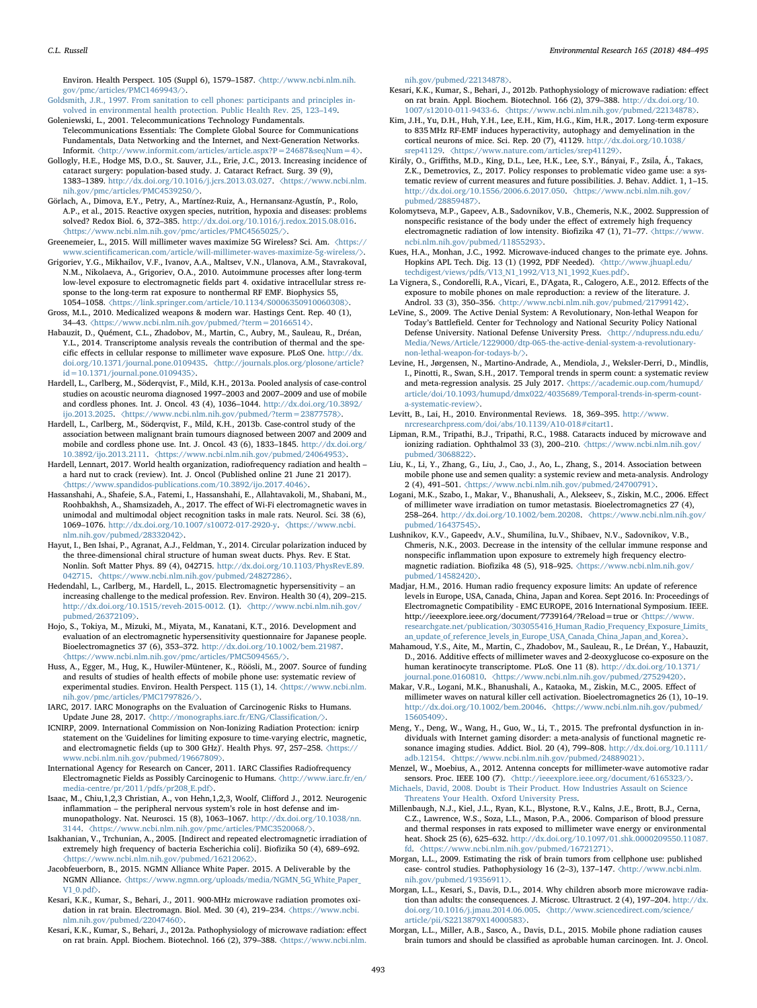Environ. Health Perspect. 105 (Suppl 6), 1579–1587. 〈[http://www.ncbi.nlm.nih.](http://www.ncbi.nlm.nih.gov/pmc/articles/PMC1469943/) [gov/pmc/articles/PMC1469943/](http://www.ncbi.nlm.nih.gov/pmc/articles/PMC1469943/)〉.

<span id="page-9-33"></span>[Goldsmith, J.R., 1997. From sanitation to cell phones: participants and principles in](http://refhub.elsevier.com/S0013-9351(18)30016-1/sbref51)[volved in environmental health protection. Public Health Rev. 25, 123](http://refhub.elsevier.com/S0013-9351(18)30016-1/sbref51)–149. Goleniewski, L., 2001. Telecommunications Technology Fundamentals.

- <span id="page-9-9"></span>Telecommunications Essentials: The Complete Global Source for Communications Fundamentals, Data Networking and the Internet, and Next-Generation Networks. Informit. 〈<http://www.informit.com/articles/article.aspx?P=24687&seqNum=4>〉.
- <span id="page-9-24"></span>Gollogly, H.E., Hodge MS, D.O., St. Sauver, J.L., Erie, J.C., 2013. Increasing incidence of cataract surgery: population-based study. J. Cataract Refract. Surg. 39 (9), 1383–1389. [http://dx.doi.org/10.1016/j.jcrs.2013.03.027.](http://dx.doi.org/10.1016/j.jcrs.2013.03.027) 〈https://www.ncbi.nlm. [nih.gov/pmc/articles/PMC4539250/](https://www.ncbi.nlm.nih.gov/pmc/articles/PMC4539250/)〉.
- <span id="page-9-14"></span>Görlach, A., Dimova, E.Y., Petry, A., Martínez-Ruiz, A., Hernansanz-Agustín, P., Rolo, A.P., et al., 2015. Reactive oxygen species, nutrition, hypoxia and diseases: problems solved? Redox Biol. 6, 372–385. [http://dx.doi.org/10.1016/j.redox.2015.08.016.](http://dx.doi.org/10.1016/j.redox.2015.08.016) 〈<https://www.ncbi.nlm.nih.gov/pmc/articles/PMC4565025/>〉.

<span id="page-9-16"></span>Greenemeier, L., 2015. Will millimeter waves maximize 5G Wireless? Sci. Am. 〈[https://](https://www.scientificamerican.com/article/will-millimeter-waves-maximize-5g-wireless/) www.scientifi[camerican.com/article/will-millimeter-waves-maximize-5g-wireless/](https://www.scientificamerican.com/article/will-millimeter-waves-maximize-5g-wireless/)〉.

- Grigoriev, Y.G., Mikhailov, V.F., Ivanov, A.A., Maltsev, V.N., Ulanova, A.M., StavrakovaI, N.M., Nikolaeva, A., Grigoriev, O.A., 2010. Autoimmune processes after long-term low-level exposure to electromagnetic fields part 4. oxidative intracellular stress response to the long-term rat exposure to nonthermal RF EMF. Biophysics 55, 1054–1058. 〈<https://link.springer.com/article/10.1134/S0006350910060308>〉.
- <span id="page-9-22"></span>Gross, M.L., 2010. Medicalized weapons & modern war. Hastings Cent. Rep. 40 (1), 34–43. 〈<https://www.ncbi.nlm.nih.gov/pubmed/?term=20166514>〉.
- <span id="page-9-31"></span>Habauzit, D., Quément, C.L., Zhadobov, M., Martin, C., Aubry, M., Sauleau, R., Dréan, Y.L., 2014. Transcriptome analysis reveals the contribution of thermal and the specific effects in cellular response to millimeter wave exposure. PLoS One. [http://dx.](http://dx.doi.org/10.1371/journal.pone.0109435) doi.org/10.1371/journal.pone.0109435. 〈[http://journals.plos.org/plosone/article?](http://dx.doi.org/10.1371/journal.pone.0109435) [id=10.1371/journal.pone.0109435](http://journals.plos.org/plosone/article?id=10.1371/journal.pone.0109435)〉.
- <span id="page-9-2"></span>Hardell, L., Carlberg, M., Söderqvist, F., Mild, K.H., 2013a. Pooled analysis of case-control studies on acoustic neuroma diagnosed 1997–2003 and 2007–2009 and use of mobile and cordless phones. Int. J. Oncol. 43 (4), 1036–1044. [http://dx.doi.org/10.3892/](http://dx.doi.org/10.3892/ijo.2013.2025) ijo.2013.2025.  $\langle$ [https://www.ncbi.nlm.nih.gov/pubmed/?term=23877578](http://dx.doi.org/10.3892/ijo.2013.2025)>.
- Hardell, L., Carlberg, M., Söderqvist, F., Mild, K.H., 2013b. Case-control study of the association between malignant brain tumours diagnosed between 2007 and 2009 and mobile and cordless phone use. Int. J. Oncol. 43 (6), 1833–1845. [http://dx.doi.org/](http://dx.doi.org/10.3892/ijo.2013.2111) 10.3892/ijo.2013.2111. 〈[https://www.ncbi.nlm.nih.gov/pubmed/24064953](http://dx.doi.org/10.3892/ijo.2013.2111)〉.
- <span id="page-9-7"></span>Hardell, Lennart, 2017. World health organization, radiofrequency radiation and health – a hard nut to crack (review). Int. J. Oncol (Published online 21 June 21 2017). 〈<https://www.spandidos-publications.com/10.3892/ijo.2017.4046>〉.
- Hassanshahi, A., Shafeie, S.A., Fatemi, I., Hassanshahi, E., Allahtavakoli, M., Shabani, M., Roohbakhsh, A., Shamsizadeh, A., 2017. The effect of Wi-Fi electromagnetic waves in unimodal and multimodal object recognition tasks in male rats. Neurol. Sci. 38 (6), 1069–1076. [http://dx.doi.org/10.1007/s10072-017-2920-y.](http://dx.doi.org/10.1007/s10072-017-2920-y) 〈https://www.ncbi. [nlm.nih.gov/pubmed/28332042](https://www.ncbi.nlm.nih.gov/pubmed/28332042)〉.
- <span id="page-9-21"></span>Hayut, I., Ben Ishai, P., Agranat, A.J., Feldman, Y., 2014. Circular polarization induced by the three-dimensional chiral structure of human sweat ducts. Phys. Rev. E Stat. Nonlin. Soft Matter Phys. 89 (4), 042715. [http://dx.doi.org/10.1103/PhysRevE.89.](http://dx.doi.org/10.1103/PhysRevE.89.042715) 042715. 〈[https://www.ncbi.nlm.nih.gov/pubmed/24827286](http://dx.doi.org/10.1103/PhysRevE.89.042715)〉.
- <span id="page-9-15"></span>Hedendahl, L., Carlberg, M., Hardell, L., 2015. Electromagnetic hypersensitivity – an increasing challenge to the medical profession. Rev. Environ. Health 30 (4), 209–215. [http://dx.doi.org/10.1515/reveh-2015-0012.](http://dx.doi.org/10.1515/reveh-2015-0012) (1). 〈http://www.ncbi.nlm.nih.gov/ [pubmed/26372109](http://www.ncbi.nlm.nih.gov/pubmed/26372109)〉.
- <span id="page-9-13"></span>Hojo, S., Tokiya, M., Mizuki, M., Miyata, M., Kanatani, K.T., 2016. Development and evaluation of an electromagnetic hypersensitivity questionnaire for Japanese people. Bioelectromagnetics 37 (6), 353–372. [http://dx.doi.org/10.1002/bem.21987.](http://dx.doi.org/10.1002/bem.21987)  $\langle\text{https://www.ncbi.nlm.nih.gov/pmc/articles/PMC5094565/}\rangle$  $\langle\text{https://www.ncbi.nlm.nih.gov/pmc/articles/PMC5094565/}\rangle$  $\langle\text{https://www.ncbi.nlm.nih.gov/pmc/articles/PMC5094565/}\rangle$
- <span id="page-9-4"></span>Huss, A., Egger, M., Hug, K., Huwiler-Müntener, K., Röösli, M., 2007. Source of funding and results of studies of health effects of mobile phone use: systematic review of experimental studies. Environ. Health Perspect. 115 (1), 14. 〈[https://www.ncbi.nlm.](https://www.ncbi.nlm.nih.gov/pmc/articles/PMC1797826/) [nih.gov/pmc/articles/PMC1797826/](https://www.ncbi.nlm.nih.gov/pmc/articles/PMC1797826/)〉.
- <span id="page-9-1"></span>IARC, 2017. IARC Monographs on the Evaluation of Carcinogenic Risks to Humans. Update June 28, 2017. 〈[http://monographs.iarc.fr/ENG/Classi](http://monographs.iarc.fr/ENG/Classification/)fication/〉.
- <span id="page-9-6"></span>ICNIRP, 2009. International Commission on Non-Ionizing Radiation Protection: icnirp statement on the 'Guidelines for limiting exposure to time-varying electric, magnetic, and electromagnetic fields (up to 300 GHz)'. Health Phys. 97, 257–258. 〈[https://](https://www.ncbi.nlm.nih.gov/pubmed/19667809) [www.ncbi.nlm.nih.gov/pubmed/19667809](https://www.ncbi.nlm.nih.gov/pubmed/19667809)〉.
- <span id="page-9-0"></span>International Agency for Research on Cancer, 2011. IARC Classifies Radiofrequency Electromagnetic Fields as Possibly Carcinogenic to Humans. 〈[http://www.iarc.fr/en/](http://www.iarc.fr/en/media-centre/pr/2011/pdfs/pr208_E.pdf) [media-centre/pr/2011/pdfs/pr208\\_E.pdf](http://www.iarc.fr/en/media-centre/pr/2011/pdfs/pr208_E.pdf)〉.
- <span id="page-9-18"></span>Isaac, M., Chiu,1,2,3 Christian, A., von Hehn,1,2,3, Woolf, Clifford J., 2012. Neurogenic inflammation – the peripheral nervous system's role in host defense and immunopathology. Nat. Neurosci. 15 (8), 1063–1067. [http://dx.doi.org/10.1038/nn.](http://dx.doi.org/10.1038/nn.3144) 3144. 〈[https://www.ncbi.nlm.nih.gov/pmc/articles/PMC3520068/](http://dx.doi.org/10.1038/nn.3144)〉.
- <span id="page-9-32"></span>Isakhanian, V., Trchunian, A., 2005. [Indirect and repeated electromagnetic irradiation of extremely high frequency of bacteria Escherichia coli]. Biofizika 50 (4), 689–692. 〈<https://www.ncbi.nlm.nih.gov/pubmed/16212062>〉.
- <span id="page-9-17"></span>Jacobfeuerborn, B., 2015. NGMN Alliance White Paper. 2015. A Deliverable by the NGMN Alliance. 〈[https://www.ngmn.org/uploads/media/NGMN\\_5G\\_White\\_Paper\\_](https://www.ngmn.org/uploads/media/NGMN_5G_White_Paper_V1_0.pdf) [V1\\_0.pdf](https://www.ngmn.org/uploads/media/NGMN_5G_White_Paper_V1_0.pdf)〉.

<span id="page-9-11"></span>Kesari, K.K., Kumar, S., Behari, J., 2011. 900-MHz microwave radiation promotes oxidation in rat brain. Electromagn. Biol. Med. 30 (4), 219–234. 〈[https://www.ncbi.](https://www.ncbi.nlm.nih.gov/pubmed/22047460) [nlm.nih.gov/pubmed/22047460](https://www.ncbi.nlm.nih.gov/pubmed/22047460)〉.

<span id="page-9-12"></span>Kesari, K.K., Kumar, S., Behari, J., 2012a. Pathophysiology of microwave radiation: effect on rat brain. Appl. Biochem. Biotechnol. 166 (2), 379–388. 〈[https://www.ncbi.nlm.](https://www.ncbi.nlm.nih.gov/pubmed/22134878)

[nih.gov/pubmed/22134878](https://www.ncbi.nlm.nih.gov/pubmed/22134878)〉.

- Kesari, K.K., Kumar, S., Behari, J., 2012b. Pathophysiology of microwave radiation: effect on rat brain. Appl. Biochem. Biotechnol. 166 (2), 379–388. [http://dx.doi.org/10.](http://dx.doi.org/10.1007/s12010-011-9433-6) 1007/s12010-011-9433-6. 〈[https://www.ncbi.nlm.nih.gov/pubmed/22134878](http://dx.doi.org/10.1007/s12010-011-9433-6)〉.
- <span id="page-9-10"></span>Kim, J.H., Yu, D.H., Huh, Y.H., Lee, E.H., Kim, H.G., Kim, H.R., 2017. Long-term exposure to 835 MHz RF-EMF induces hyperactivity, autophagy and demyelination in the cortical neurons of mice. Sci. Rep. 20 (7), 41129. [http://dx.doi.org/10.1038/](http://dx.doi.org/10.1038/srep41129) srep41129. 〈[https://www.nature.com/articles/srep41129](http://dx.doi.org/10.1038/srep41129)〉.
- Király, O., Griffiths, M.D., King, D.L., Lee, H.K., Lee, S.Y., Bányai, F., Zsila, Á., Takacs, Z.K., Demetrovics, Z., 2017. Policy responses to problematic video game use: a systematic review of current measures and future possibilities. J. Behav. Addict. 1, 1–15. [http://dx.doi.org/10.1556/2006.6.2017.050.](http://dx.doi.org/10.1556/2006.6.2017.050) 〈https://www.ncbi.nlm.nih.gov/ [pubmed/28859487](https://www.ncbi.nlm.nih.gov/pubmed/28859487)〉.
- <span id="page-9-27"></span>Kolomytseva, M.P., Gapeev, A.B., Sadovnikov, V.B., Chemeris, N.K., 2002. Suppression of nonspecific resistance of the body under the effect of extremely high frequency electromagnetic radiation of low intensity. Biofizika 47 (1), 71–77. 〈[https://www.](https://www.ncbi.nlm.nih.gov/pubmed/11855293) [ncbi.nlm.nih.gov/pubmed/11855293](https://www.ncbi.nlm.nih.gov/pubmed/11855293)〉.
- <span id="page-9-26"></span>Kues, H.A., Monhan, J.C., 1992. Microwave-induced changes to the primate eye. Johns. Hopkins APL Tech. Dig. 13 (1) (1992, PDF Needed). 〈[http://www.jhuapl.edu/](http://www.jhuapl.edu/techdigest/views/pdfs/V13_N1_1992/V13_N1_1992_Kues.pdf) [techdigest/views/pdfs/V13\\_N1\\_1992/V13\\_N1\\_1992\\_Kues.pdf](http://www.jhuapl.edu/techdigest/views/pdfs/V13_N1_1992/V13_N1_1992_Kues.pdf)〉.
- La Vignera, S., Condorelli, R.A., Vicari, E., D'Agata, R., Calogero, A.E., 2012. Effects of the exposure to mobile phones on male reproduction: a review of the literature. J. Androl. 33 (3), 350–356. 〈<http://www.ncbi.nlm.nih.gov/pubmed/21799142>〉.
- <span id="page-9-23"></span>LeVine, S., 2009. The Active Denial System: A Revolutionary, Non-lethal Weapon for Today's Battlefield. Center for Technology and National Security Policy National Defense University. National Defense University Press. 〈[http://ndupress.ndu.edu/](http://ndupress.ndu.edu/Media/News/Article/1229000/dtp-065-the-active-denial-system-a-revolutionary-non-lethal-weapon-for-todays-b/) [Media/News/Article/1229000/dtp-065-the-active-denial-system-a-revolutionary](http://ndupress.ndu.edu/Media/News/Article/1229000/dtp-065-the-active-denial-system-a-revolutionary-non-lethal-weapon-for-todays-b/)[non-lethal-weapon-for-todays-b/](http://ndupress.ndu.edu/Media/News/Article/1229000/dtp-065-the-active-denial-system-a-revolutionary-non-lethal-weapon-for-todays-b/)〉.
- Levine, H., Jørgensen, N., Martino-Andrade, A., Mendiola, J., Weksler-Derri, D., Mindlis, I., Pinotti, R., Swan, S.H., 2017. Temporal trends in sperm count: a systematic review and meta-regression analysis. 25 July 2017. 〈[https://academic.oup.com/humupd/](https://academic.oup.com/humupd/article/doi/10.1093/humupd/dmx022/4035689/Temporal-trends-in-sperm-count-a-systematic-review) [article/doi/10.1093/humupd/dmx022/4035689/Temporal-trends-in-sperm-count](https://academic.oup.com/humupd/article/doi/10.1093/humupd/dmx022/4035689/Temporal-trends-in-sperm-count-a-systematic-review)[a-systematic-review](https://academic.oup.com/humupd/article/doi/10.1093/humupd/dmx022/4035689/Temporal-trends-in-sperm-count-a-systematic-review)〉.
- Levitt, B., Lai, H., 2010. Environmental Reviews. 18, 369–395. [http://www.](http://www.nrcresearchpress.com/doi/abs/10.1139/A10-018#citart1) [nrcresearchpress.com/doi/abs/10.1139/A10-018#citart1.](http://www.nrcresearchpress.com/doi/abs/10.1139/A10-018#citart1)
- <span id="page-9-25"></span>Lipman, R.M., Tripathi, B.J., Tripathi, R.C., 1988. Cataracts induced by microwave and ionizing radiation. Ophthalmol 33 (3), 200-210. <[https://www.ncbi.nlm.nih.gov/](https://www.ncbi.nlm.nih.gov/pubmed/3068822) [pubmed/3068822](https://www.ncbi.nlm.nih.gov/pubmed/3068822)〉.
- Liu, K., Li, Y., Zhang, G., Liu, J., Cao, J., Ao, L., Zhang, S., 2014. Association between mobile phone use and semen quality: a systemic review and meta-analysis. Andrology 2 (4), 491–501. 〈<https://www.ncbi.nlm.nih.gov/pubmed/24700791>〉.
- <span id="page-9-30"></span>Logani, M.K., Szabo, I., Makar, V., Bhanushali, A., Alekseev, S., Ziskin, M.C., 2006. Effect of millimeter wave irradiation on tumor metastasis. Bioelectromagnetics 27 (4), 258–264. [http://dx.doi.org/10.1002/bem.20208.](http://dx.doi.org/10.1002/bem.20208) 〈https://www.ncbi.nlm.nih.gov/ [pubmed/16437545](https://www.ncbi.nlm.nih.gov/pubmed/16437545)〉.
- <span id="page-9-28"></span>Lushnikov, K.V., Gapeedv, A.V., Shumilina, Iu.V., Shibaev, N.V., Sadovnikov, V.B., Chmeris, N.K., 2003. Decrease in the intensity of the cellular immune response and nonspecific inflammation upon exposure to extremely high frequency electromagnetic radiation. Biofizika 48 (5), 918–925. 〈[https://www.ncbi.nlm.nih.gov/](https://www.ncbi.nlm.nih.gov/pubmed/14582420) [pubmed/14582420](https://www.ncbi.nlm.nih.gov/pubmed/14582420)〉.
- <span id="page-9-8"></span>Madjar, H.M., 2016. Human radio frequency exposure limits: An update of reference levels in Europe, USA, Canada, China, Japan and Korea. Sept 2016. In: Proceedings of Electromagnetic Compatibility - EMC EUROPE, 2016 International Symposium. IEEE. http://ieeexplore.ieee.org/document/7739164/?Reload=true or 〈[https://www.](https://www.researchgate.net/publication/303055416_Human_Radio_Frequency_Exposure_Limits_an_update_of_reference_levels_in_Europe_USA_Canada_China_Japan_and_Korea) [researchgate.net/publication/303055416\\_Human\\_Radio\\_Frequency\\_Exposure\\_Limits\\_](https://www.researchgate.net/publication/303055416_Human_Radio_Frequency_Exposure_Limits_an_update_of_reference_levels_in_Europe_USA_Canada_China_Japan_and_Korea)  $an\_update\_of\_reference\_levels\_in\_Europe\_USA\_Canada\_China\_Japan\_and\_Korea$
- <span id="page-9-20"></span>Mahamoud, Y.S., Aite, M., Martin, C., Zhadobov, M., Sauleau, R., Le Dréan, Y., Habauzit, D., 2016. Additive effects of millimeter waves and 2-deoxyglucose co-exposure on the human keratinocyte transcriptome. PLoS. One 11 (8). [http://dx.doi.org/10.1371/](http://dx.doi.org/10.1371/journal.pone.0160810) journal.pone.0160810. 〈[https://www.ncbi.nlm.nih.gov/pubmed/27529420](http://dx.doi.org/10.1371/journal.pone.0160810)〉.
- <span id="page-9-29"></span>Makar, V.R., Logani, M.K., Bhanushali, A., Kataoka, M., Ziskin, M.C., 2005. Effect of millimeter waves on natural killer cell activation. Bioelectromagnetics 26 (1), 10–19. http://dx.doi.org/10.1002/bem.20046. 〈[https://www.ncbi.nlm.nih.gov/pubmed/](http://dx.doi.org/10.1002/bem.20046) [15605409](https://www.ncbi.nlm.nih.gov/pubmed/15605409)〉.
- Meng, Y., Deng, W., Wang, H., Guo, W., Li, T., 2015. The prefrontal dysfunction in individuals with Internet gaming disorder: a meta-analysis of functional magnetic resonance imaging studies. Addict. Biol. 20 (4), 799-808. [http://dx.doi.org/10.1111/](http://dx.doi.org/10.1111/adb.12154) adb.12154. 〈[https://www.ncbi.nlm.nih.gov/pubmed/24889021](http://dx.doi.org/10.1111/adb.12154)〉.

<span id="page-9-19"></span>Menzel, W., Moebius, A., 2012. Antenna concepts for millimeter-wave automotive radar sensors. Proc. IEEE 100 (7).  $\Delta t$ ttp://ieeexplore.ieee.org/document/6165323/ $\Delta t$ 

<span id="page-9-34"></span>[Michaels, David, 2008. Doubt is Their Product. How Industries Assault on Science](http://refhub.elsevier.com/S0013-9351(18)30016-1/sbref87) [Threatens Your Health. Oxford University Press](http://refhub.elsevier.com/S0013-9351(18)30016-1/sbref87).

Millenbaugh, N.J., Kiel, J.L., Ryan, K.L., Blystone, R.V., Kalns, J.E., Brott, B.J., Cerna, C.Z., Lawrence, W.S., Soza, L.L., Mason, P.A., 2006. Comparison of blood pressure and thermal responses in rats exposed to millimeter wave energy or environmental heat. Shock 25 (6), 625–632. [http://dx.doi.org/10.1097/01.shk.0000209550.11087.](http://dx.doi.org/10.1097/01.shk.0000209550.11087.fd) fd. 〈[https://www.ncbi.nlm.nih.gov/pubmed/16721271](http://dx.doi.org/10.1097/01.shk.0000209550.11087.fd)〉.

- <span id="page-9-5"></span>Morgan, L.L., 2009. Estimating the risk of brain tumors from cellphone use: published case- control studies. Pathophysiology 16 (2–3), 137–147. 〈[http://www.ncbi.nlm.](http://www.ncbi.nlm.nih.gov/pubmed/19356911) [nih.gov/pubmed/19356911](http://www.ncbi.nlm.nih.gov/pubmed/19356911)〉.
- <span id="page-9-3"></span>Morgan, L.L., Kesari, S., Davis, D.L., 2014. Why children absorb more microwave radiation than adults: the consequences. J. Microsc. Ultrastruct. 2 (4), 197–204. [http://dx.](http://dx.doi.org/10.1016/j.jmau.2014.06.005) doi.org/10.1016/j.jmau.2014.06.005. 〈[http://www.sciencedirect.com/science/](http://dx.doi.org/10.1016/j.jmau.2014.06.005) [article/pii/S2213879X14000583](http://www.sciencedirect.com/science/article/pii/S2213879X14000583)〉.
- Morgan, L.L., Miller, A.B., Sasco, A., Davis, D.L., 2015. Mobile phone radiation causes brain tumors and should be classified as aprobable human carcinogen. Int. J. Oncol.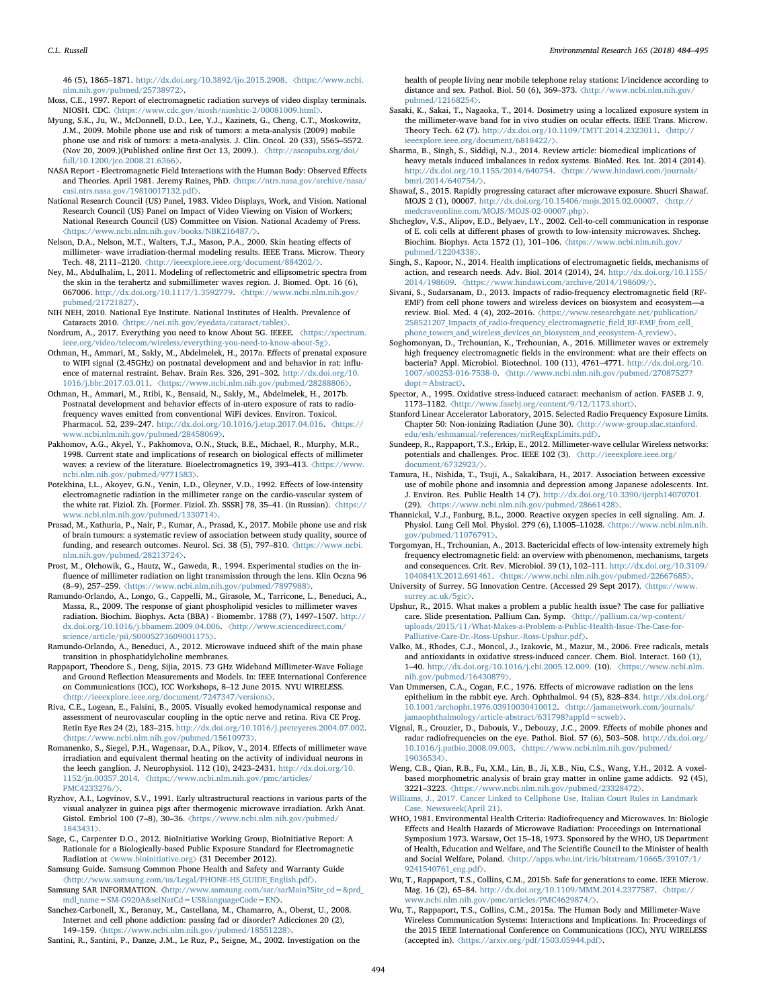46 (5), 1865–1871. [http://dx.doi.org/10.3892/ijo.2015.2908.](http://dx.doi.org/10.3892/ijo.2015.2908) 〈https://www.ncbi. [nlm.nih.gov/pubmed/25738972](https://www.ncbi.nlm.nih.gov/pubmed/25738972)〉.

- Moss, C.E., 1997. Report of electromagnetic radiation surveys of video display terminals. NIOSH. CDC. 〈<https://www.cdc.gov/niosh/nioshtic-2/00081009.html>〉.
- <span id="page-10-2"></span>Myung, S.K., Ju, W., McDonnell, D.D., Lee, Y.J., Kazinets, G., Cheng, C.T., Moskowitz, J.M., 2009. Mobile phone use and risk of tumors: a meta-analysis (2009) mobile phone use and risk of tumors: a meta-analysis. J. Clin. Oncol. 20 (33), 5565–5572. (Nov 20, 2009.)(Published online first Oct 13, 2009.). 〈[http://ascopubs.org/doi/](http://ascopubs.org/doi/full/10.1200/jco.2008.21.6366) [full/10.1200/jco.2008.21.6366](http://ascopubs.org/doi/full/10.1200/jco.2008.21.6366)〉.
- <span id="page-10-11"></span>NASA Report - Electromagnetic Field Interactions with the Human Body: Observed Effects and Theories. April 1981. Jeremy Raines, PhD. 〈[https://ntrs.nasa.gov/archive/nasa/](https://ntrs.nasa.gov/archive/nasa/casi.ntrs.nasa.gov/19810017132.pdf) [casi.ntrs.nasa.gov/19810017132.pdf](https://ntrs.nasa.gov/archive/nasa/casi.ntrs.nasa.gov/19810017132.pdf)〉.
- <span id="page-10-19"></span>National Research Council (US) Panel, 1983. Video Displays, Work, and Vision. National Research Council (US) Panel on Impact of Video Viewing on Vision of Workers; National Research Council (US) Committee on Vision. National Academy of Press. 〈<https://www.ncbi.nlm.nih.gov/books/NBK216487/>〉.
- Nelson, D.A., Nelson, M.T., Walters, T.J., Mason, P.A., 2000. Skin heating effects of millimeter- wave irradiation-thermal modeling results. IEEE Trans. Microw. Theory Tech. 48, 2111–2120. 〈<http://ieeexplore.ieee.org/document/884202/>〉.
- <span id="page-10-22"></span>Ney, M., Abdulhalim, I., 2011. Modeling of reflectometric and ellipsometric spectra from the skin in the terahertz and submillimeter waves region. J. Biomed. Opt. 16 (6), 067006. [http://dx.doi.org/10.1117/1.3592779.](http://dx.doi.org/10.1117/1.3592779) 〈https://www.ncbi.nlm.nih.gov/ [pubmed/21721827](https://www.ncbi.nlm.nih.gov/pubmed/21721827)〉.
- <span id="page-10-23"></span>NIH NEH, 2010. National Eye Institute. National Institutes of Health. Prevalence of Cataracts 2010. 〈<https://nei.nih.gov/eyedata/cataract/tables>〉.
- <span id="page-10-9"></span>Nordrum, A., 2017. Everything you need to know About 5G. IEEEE. 〈[https://spectrum.](https://spectrum.ieee.org/video/telecom/wireless/everything-you-need-to-know-about-5g) [ieee.org/video/telecom/wireless/everything-you-need-to-know-about-5g](https://spectrum.ieee.org/video/telecom/wireless/everything-you-need-to-know-about-5g)〉.
- Othman, H., Ammari, M., Sakly, M., Abdelmelek, H., 2017a. Effects of prenatal exposure to WIFI signal (2.45GHz) on postnatal development and and behavior in rat: influence of maternal restraint. Behav. Brain Res. 326, 291–302. [http://dx.doi.org/10.](http://dx.doi.org/10.1016/j.bbr.2017.03.011) 1016/j.bbr.2017.03.011. 〈[https://www.ncbi.nlm.nih.gov/pubmed/28288806](http://dx.doi.org/10.1016/j.bbr.2017.03.011)〉.
- Othman, H., Ammari, M., Rtibi, K., Bensaid, N., Sakly, M., Abdelmelek, H., 2017b. Postnatal development and behavior effects of in-utero exposure of rats to radiofrequency waves emitted from conventional WiFi devices. Environ. Toxicol. Pharmacol. 52, 239–247. [http://dx.doi.org/10.1016/j.etap.2017.04.016.](http://dx.doi.org/10.1016/j.etap.2017.04.016) 〈https:// [www.ncbi.nlm.nih.gov/pubmed/28458069](https://www.ncbi.nlm.nih.gov/pubmed/28458069)〉.
- <span id="page-10-17"></span>Pakhomov, A.G., Akyel, Y., Pakhomova, O.N., Stuck, B.E., Michael, R., Murphy, M.R., 1998. Current state and implications of research on biological effects of millimeter waves: a review of the literature. Bioelectromagnetics 19, 393-413. <[https://www.](http://www.rife.org/otherresearch/millimeterwaves.html) [ncbi.nlm.nih.gov/pubmed/9771583](http://www.rife.org/otherresearch/millimeterwaves.html)〉.
- <span id="page-10-30"></span>Potekhina, I.L., Akoyev, G.N., Yenin, L.D., Oleyner, V.D., 1992. Effects of low-intensity electromagnetic radiation in the millimeter range on the cardio-vascular system of the white rat. Fiziol. Zh. [Former. Fiziol. Zh. SSSR] 78, 35–41. (in Russian). 〈[https://](https://www.ncbi.nlm.nih.gov/pubmed/1330714) [www.ncbi.nlm.nih.gov/pubmed/1330714](https://www.ncbi.nlm.nih.gov/pubmed/1330714)〉.
- <span id="page-10-3"></span>Prasad, M., Kathuria, P., Nair, P., Kumar, A., Prasad, K., 2017. Mobile phone use and risk of brain tumours: a systematic review of association between study quality, source of funding, and research outcomes. Neurol. Sci. 38 (5), 797-810.  $\langle$ [https://www.ncbi.](https://www.ncbi.nlm.nih.gov/pubmed/28213724) [nlm.nih.gov/pubmed/28213724](https://www.ncbi.nlm.nih.gov/pubmed/28213724)〉.
- <span id="page-10-26"></span>Prost, M., Olchowik, G., Hautz, W., Gaweda, R., 1994. Experimental studies on the influence of millimeter radiation on light transmission through the lens. Klin Oczna 96 (8–9), 257–259. 〈<https://www.ncbi.nlm.nih.gov/pubmed/7897988>〉.
- <span id="page-10-20"></span>Ramundo-Orlando, A., Longo, G., Cappelli, M., Girasole, M., Tarricone, L., Beneduci, A., Massa, R., 2009. The response of giant phospholipid vesicles to millimeter waves radiation. Biochim. Biophys. Acta (BBA) - Biomembr. 1788 (7), 1497–1507. [http://](http://dx.doi.org/10.1016/j.bbamem.2009.04.006) [dx.doi.org/10.1016/j.bbamem.2009.04.006.](http://dx.doi.org/10.1016/j.bbamem.2009.04.006) 〈http://www.sciencedirect.com/ [science/article/pii/S0005273609001175](http://www.sciencedirect.com/science/article/pii/S0005273609001175)〉.
- <span id="page-10-21"></span>Ramundo-Orlando, A., Beneduci, A., 2012. Microwave induced shift of the main phase transition in phosphatidylcholine membranes.
- <span id="page-10-14"></span>Rappaport, Theodore S., Deng, Sijia, 2015. 73 GHz Wideband Millimeter-Wave Foliage and Ground Reflection Measurements and Models. In: IEEE International Conference on Communications (ICC), ICC Workshops, 8–12 June 2015. NYU WIRELESS. 〈<http://ieeexplore.ieee.org/document/7247347/versions>〉.
- Riva, C.E., Logean, E., Falsini, B., 2005. Visually evoked hemodynamical response and assessment of neurovascular coupling in the optic nerve and retina. Riva CE Prog. Retin Eye Res 24 (2), 183–215. [http://dx.doi.org/10.1016/j.preteyeres.2004.07.002.](http://dx.doi.org/10.1016/j.preteyeres.2004.07.002) 〈<https://www.ncbi.nlm.nih.gov/pubmed/15610973>〉.
- <span id="page-10-16"></span>Romanenko, S., Siegel, P.H., Wagenaar, D.A., Pikov, V., 2014. Effects of millimeter wave irradiation and equivalent thermal heating on the activity of individual neurons in the leech ganglion. J. Neurophysiol. 112 (10), 2423–2431. [http://dx.doi.org/10.](http://dx.doi.org/10.1152/jn.00357.2014) 1152/jn.00357.2014. 〈[https://www.ncbi.nlm.nih.gov/pmc/articles/](http://dx.doi.org/10.1152/jn.00357.2014) [PMC4233276/](https://www.ncbi.nlm.nih.gov/pmc/articles/PMC4233276/)〉.
- Ryzhov, A.I., Logvinov, S.V., 1991. Early ultrastructural reactions in various parts of the visual analyzer in guinea pigs after thermogenic microwave irradiation. Arkh Anat. Gistol. Embriol 100 (7–8), 30–36. 〈[https://www.ncbi.nlm.nih.gov/pubmed/](https://www.ncbi.nlm.nih.gov/pubmed/1843431) [1843431](https://www.ncbi.nlm.nih.gov/pubmed/1843431)〉.
- <span id="page-10-1"></span>Sage, C., Carpenter D.O., 2012. BioInitiative Working Group, BioInitiative Report: A Rationale for a Biologically-based Public Exposure Standard for Electromagnetic Radiation at 〈[www.bioinitiative.org](http://www.bioinitiative.org)〉 (31 December 2012).
- <span id="page-10-7"></span>Samsung Guide. Samsung Common Phone Health and Safety and Warranty Guide 〈[http://www.samsung.com/us/Legal/PHONE-HS\\_GUIDE\\_English.pdf](http://www.samsung.com/us/Legal/PHONE-HS_GUIDE_English.pdf)〉.
- <span id="page-10-6"></span>Samsung SAR INFORMATION. 〈[http://www.samsung.com/sar/sarMain?Site\\_cd=&prd\\_](http://www.samsung.com/sar/sarMain?Site_cd=&prd_mdl_name=SM-G920A&selNatCd=US&languageCode=EN) [mdl\\_name=SM-G920A&selNatCd=US&languageCode=EN](http://www.samsung.com/sar/sarMain?Site_cd=&prd_mdl_name=SM-G920A&selNatCd=US&languageCode=EN)〉.
- Sanchez-Carbonell, X., Beranuy, M., Castellana, M., Chamarro, A., Oberst, U., 2008. Internet and cell phone addiction: passing fad or disorder? Adicciones 20 (2), 149–159. 〈<https://www.ncbi.nlm.nih.gov/pubmed/18551228>〉.
- <span id="page-10-13"></span>Santini, R., Santini, P., Danze, J.M., Le Ruz, P., Seigne, M., 2002. Investigation on the

health of people living near mobile telephone relay stations: I/incidence according to distance and sex. Pathol. Biol. 50 (6), 369-373.  $\frac{\hbar t}{\hbar}$ //www.ncbi.nlm.nih.gov/ [pubmed/12168254](http://www.ncbi.nlm.nih.gov/pubmed/12168254)〉.

- <span id="page-10-28"></span>Sasaki, K., Sakai, T., Nagaoka, T., 2014. Dosimetry using a localized exposure system in the millimeter-wave band for in vivo studies on ocular effects. IEEE Trans. Microw. Theory Tech. 62 (7). [http://dx.doi.org/10.1109/TMTT.2014.2323011.](http://dx.doi.org/10.1109/TMTT.2014.2323011) 〈http:// [ieeexplore.ieee.org/document/6818422/](http://ieeexplore.ieee.org/document/6818422/)〉.
- Sharma, B., Singh, S., Siddiqi, N.J., 2014. Review article: biomedical implications of heavy metals induced imbalances in redox systems. BioMed. Res. Int. 2014 (2014). [http://dx.doi.org/10.1155/2014/640754.](http://dx.doi.org/10.1155/2014/640754) 〈https://www.hindawi.com/journals/ [bmri/2014/640754/](https://www.hindawi.com/journals/bmri/2014/640754/)〉.
- <span id="page-10-27"></span>Shawaf, S., 2015. Rapidly progressing cataract after microwave exposure. Shucri Shawaf. MOJS 2 (1), 00007. [http://dx.doi.org/10.15406/mojs.2015.02.00007.](http://dx.doi.org/10.15406/mojs.2015.02.00007) 〈http:// [medcraveonline.com/MOJS/MOJS-02-00007.php](http://medcraveonline.com/MOJS/MOJS-02-00007.php)〉.
- <span id="page-10-31"></span>Shcheglov, V.S., Alipov, E.D., Belyaev, I.Y., 2002. Cell-to-cell communication in response of E. coli cells at different phases of growth to low-intensity microwaves. Shcheg. Biochim. Biophys. Acta 1572 (1), 101-106. <[https://www.ncbi.nlm.nih.gov/](https://www.ncbi.nlm.nih.gov/pubmed/12204338) [pubmed/12204338](https://www.ncbi.nlm.nih.gov/pubmed/12204338)〉.
- Singh, S., Kapoor, N., 2014. Health implications of electromagnetic fields, mechanisms of action, and research needs. Adv. Biol. 2014 (2014), 24. [http://dx.doi.org/10.1155/](http://dx.doi.org/10.1155/2014/198609) 2014/198609. 〈[https://www.hindawi.com/archive/2014/198609/](http://dx.doi.org/10.1155/2014/198609)〉.
- <span id="page-10-10"></span>Sivani, S., Sudarsanam, D., 2013. Impacts of radio-frequency electromagnetic field (RF-EMF) from cell phone towers and wireless devices on biosystem and ecosystem—a review. Biol. Med. 4 (4), 202–2016. 〈[https://www.researchgate.net/publication/](https://www.researchgate.net/publication/258521207_Impacts_of_radio-frequency_electromagnetic_field_RF-EMF_from_cell_phone_towers_and_wireless_devices_on_biosystem_and_ecosystem-A_review) [258521207\\_Impacts\\_of\\_radio-frequency\\_electromagnetic\\_](https://www.researchgate.net/publication/258521207_Impacts_of_radio-frequency_electromagnetic_field_RF-EMF_from_cell_phone_towers_and_wireless_devices_on_biosystem_and_ecosystem-A_review)field\_RF-EMF\_from\_cell\_ [phone\\_towers\\_and\\_wireless\\_devices\\_on\\_biosystem\\_and\\_ecosystem-A\\_review](https://www.researchgate.net/publication/258521207_Impacts_of_radio-frequency_electromagnetic_field_RF-EMF_from_cell_phone_towers_and_wireless_devices_on_biosystem_and_ecosystem-A_review)〉.
- <span id="page-10-33"></span>Soghomonyan, D., Trchounian, K., Trchounian, A., 2016. Millimeter waves or extremely high frequency electromagnetic fields in the environment: what are their effects on bacteria? Appl. Microbiol. Biotechnol. 100 (11), 4761–4771. [http://dx.doi.org/10.](http://dx.doi.org/10.1007/s00253-016-7538-0) 1007/s00253-016-7538-0. 〈[http://www.ncbi.nlm.nih.gov/pubmed/27087527?](http://dx.doi.org/10.1007/s00253-016-7538-0) [dopt=Abstract](http://www.ncbi.nlm.nih.gov/pubmed/27087527?dopt=Abstract)〉.
- <span id="page-10-24"></span>Spector, A., 1995. Oxidative stress-induced cataract: mechanism of action. FASEB J. 9, 1173–1182. 〈<http://www.fasebj.org/content/9/12/1173.short>〉.
- <span id="page-10-8"></span>Stanford Linear Accelerator Laboratory, 2015. Selected Radio Frequency Exposure Limits. Chapter 50: Non-ionizing Radiation (June 30). 〈[http://www-group.slac.stanford.](http://www-group.slac.stanford.edu/esh/eshmanual/references/nirReqExpLimits.pdf) [edu/esh/eshmanual/references/nirReqExpLimits.pdf](http://www-group.slac.stanford.edu/esh/eshmanual/references/nirReqExpLimits.pdf)〉.
- <span id="page-10-18"></span>Sundeep, R., Rappaport, T.S., Erkip, E., 2012. Millimeter-wave cellular Wireless networks: potentials and challenges. Proc. IEEE 102 (3).  $\langle$ [http://ieeexplore.ieee.org/](http://ieeexplore.ieee.org/document/6732923/) [document/6732923/](http://ieeexplore.ieee.org/document/6732923/)〉.
- Tamura, H., Nishida, T., Tsuji, A., Sakakibara, H., 2017. Association between excessive use of mobile phone and insomnia and depression among Japanese adolescents. Int. J. Environ. Res. Public Health 14 (7). [http://dx.doi.org/10.3390/ijerph14070701.](http://dx.doi.org/10.3390/ijerph14070701) (29). 〈[https://www.ncbi.nlm.nih.gov/pubmed/28661428](http://dx.doi.org/10.3390/ijerph14070701)〉.
- Thannickal, V.J., Fanburg, B.L., 2000. Reactive oxygen species in cell signaling. Am. J. Physiol. Lung Cell Mol. Physiol. 279 (6), L1005–L1028. 〈[https://www.ncbi.nlm.nih.](https://www.ncbi.nlm.nih.gov/pubmed/11076791) [gov/pubmed/11076791](https://www.ncbi.nlm.nih.gov/pubmed/11076791)〉.
- <span id="page-10-32"></span>Torgomyan, H., Trchounian, A., 2013. Bactericidal effects of low-intensity extremely high frequency electromagnetic field: an overview with phenomenon, mechanisms, targets and consequences. Crit. Rev. Microbiol. 39 (1), 102–111. [http://dx.doi.org/10.3109/](http://dx.doi.org/10.3109/1040841X.2012.691461) 1040841X.2012.691461. 〈[https://www.ncbi.nlm.nih.gov/pubmed/22667685](http://dx.doi.org/10.3109/1040841X.2012.691461)〉.
- <span id="page-10-12"></span>University of Surrey. 5G Innovation Centre. (Accessed 29 Sept 2017). 〈[https://www.](https://www.surrey.ac.uk/5gic) [surrey.ac.uk/5gic](https://www.surrey.ac.uk/5gic)〉.
- <span id="page-10-34"></span>Upshur, R., 2015. What makes a problem a public health issue? The case for palliative care. Slide presentation. Pallium Can. Symp. 〈[http://pallium.ca/wp-content/](http://pallium.ca/wp-content/uploads/2015/11/What-Makes-a-Problem-a-Public-Health-Issue-The-Case-for-Palliative-Care-Dr.-Ross-Upshur.-Ross-Upshur.pdf) [uploads/2015/11/What-Makes-a-Problem-a-Public-Health-Issue-The-Case-for-](http://pallium.ca/wp-content/uploads/2015/11/What-Makes-a-Problem-a-Public-Health-Issue-The-Case-for-Palliative-Care-Dr.-Ross-Upshur.-Ross-Upshur.pdf)[Palliative-Care-Dr.-Ross-Upshur.-Ross-Upshur.pdf](http://pallium.ca/wp-content/uploads/2015/11/What-Makes-a-Problem-a-Public-Health-Issue-The-Case-for-Palliative-Care-Dr.-Ross-Upshur.-Ross-Upshur.pdf)〉.
- Valko, M., Rhodes, C.J., Moncol, J., Izakovic, M., Mazur, M., 2006. Free radicals, metals and antioxidants in oxidative stress-induced cancer. Chem. Biol. Interact. 160 (1), 1–40. [http://dx.doi.org/10.1016/j.cbi.2005.12.009.](http://dx.doi.org/10.1016/j.cbi.2005.12.009) (10). 〈https://www.ncbi.nlm. [nih.gov/pubmed/16430879](https://www.ncbi.nlm.nih.gov/pubmed/16430879)〉.
- Van Ummersen, C.A., Cogan, F.C., 1976. Effects of microwave radiation on the lens epithelium in the rabbit eye. Arch. Ophthalmol. 94 (5), 828–834. [http://dx.doi.org/](http://dx.doi.org/10.1001/archopht.1976.03910030410012) [10.1001/archopht.1976.03910030410012.](http://dx.doi.org/10.1001/archopht.1976.03910030410012) 〈http://jamanetwork.com/journals/ [jamaophthalmology/article-abstract/631798?appId=scweb](http://jamanetwork.com/journals/jamaophthalmology/article-abstract/631798?appId=scweb)〉.
- <span id="page-10-25"></span>Vignal, R., Crouzier, D., Dabouis, V., Debouzy, J.C., 2009. Effects of mobile phones and radar radiofrequencies on the eye. Pathol. Biol. 57 (6), 503–508. [http://dx.doi.org/](http://dx.doi.org/10.1016/j.patbio.2008.09.003) 10.1016/j.patbio.2008.09.003. 〈[https://www.ncbi.nlm.nih.gov/pubmed/](http://dx.doi.org/10.1016/j.patbio.2008.09.003) [19036534](https://www.ncbi.nlm.nih.gov/pubmed/19036534)〉.
- <span id="page-10-0"></span>Weng, C.B., Qian, R.B., Fu, X.M., Lin, B., Ji, X.B., Niu, C.S., Wang, Y.H., 2012. A voxelbased morphometric analysis of brain gray matter in online game addicts. 92 (45), 3221–3223. 〈<https://www.ncbi.nlm.nih.gov/pubmed/23328472>〉.
- <span id="page-10-4"></span>[Williams, J., 2017. Cancer Linked to Cellphone Use, Italian Court Rules in Landmark](http://refhub.elsevier.com/S0013-9351(18)30016-1/sbref125) [Case. Newsweek\(April 21\).](http://refhub.elsevier.com/S0013-9351(18)30016-1/sbref125)
- <span id="page-10-5"></span>WHO, 1981. Environmental Health Criteria: Radiofrequency and Microwaves. In: Biologic Effects and Health Hazards of Microwave Radiation: Proceedings on International Symposium 1973. Warsaw, Oct 15–18, 1973. Sponsored by the WHO, US Department of Health, Education and Welfare, and The Scientific Council to the Minister of health and Social Welfare, Poland. <http://apps.who.int/iris/bitstream/10665/39107/ [9241540761\\_eng.pdf](http://apps.who.int/iris/bitstream/10665/39107/1/9241540761_eng.pdf)〉.
- <span id="page-10-29"></span>Wu, T., Rappaport, T.S., Collins, C.M., 2015b. Safe for generations to come. IEEE Microw. Mag. 16 (2), 65–84. [http://dx.doi.org/10.1109/MMM.2014.2377587.](http://dx.doi.org/10.1109/MMM.2014.2377587) 〈https:// [www.ncbi.nlm.nih.gov/pmc/articles/PMC4629874/](https://www.ncbi.nlm.nih.gov/pmc/articles/PMC4629874/)〉.
- <span id="page-10-15"></span>Wu, T., Rappaport, T.S., Collins, C.M., 2015a. The Human Body and Millimeter-Wave Wireless Communication Systems: Interactions and Implications. In: Proceedings of the 2015 IEEE International Conference on Communications (ICC), NYU WIRELESS (accepted in). 〈<https://arxiv.org/pdf/1503.05944.pdf>〉.